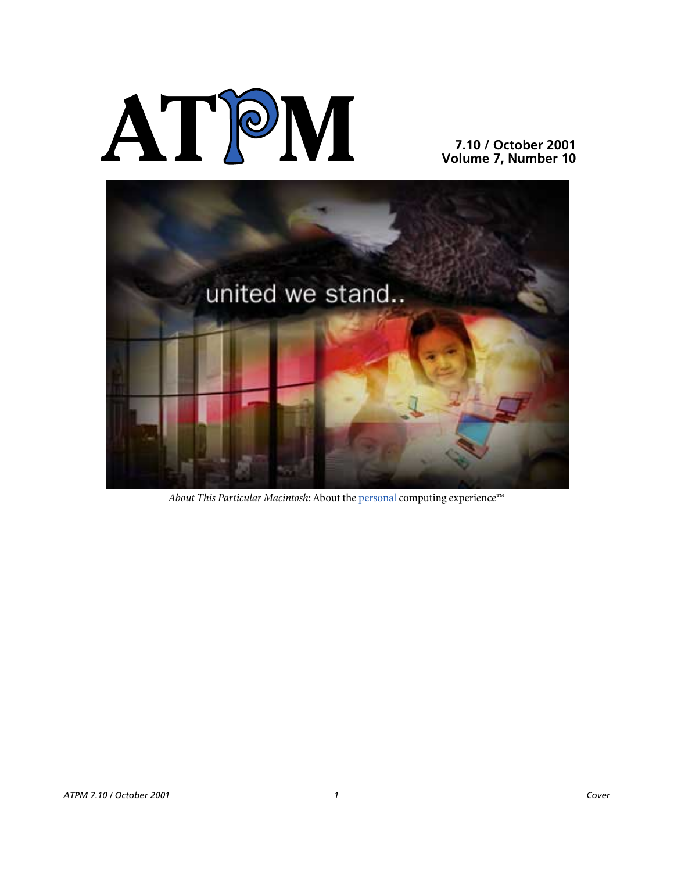# **AT**P**M**

**7.10 / October 2001 Volume 7, Number 10**



*About This Particular Macintosh*: About the personal computing experience™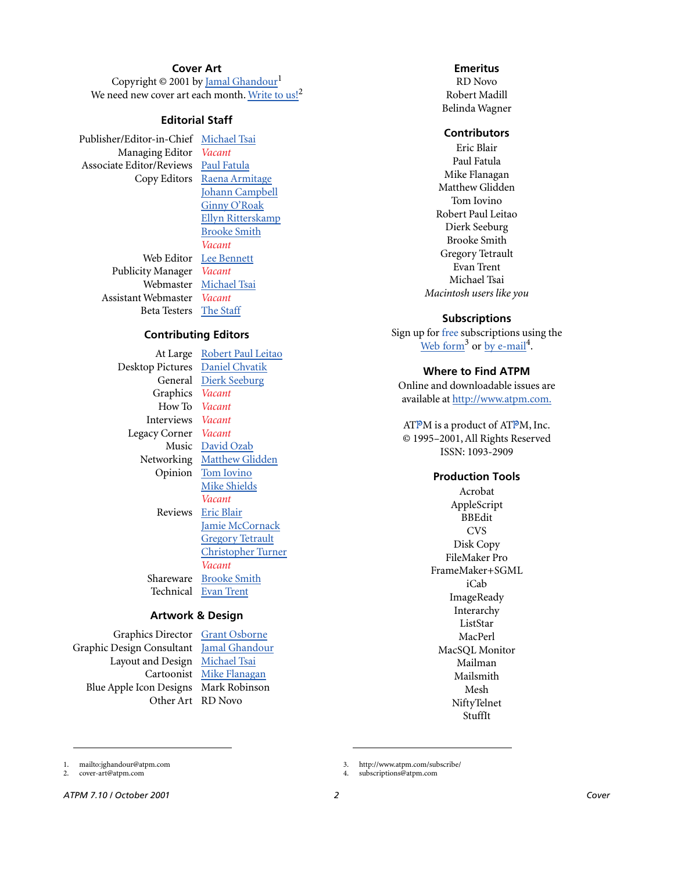#### **Cover Art**

Copyright © 2001 by [Jamal Ghandour](mailto:jghandour@atpm.com)<sup>1</sup> We need new cover art each month. [Write to us!](mailto:cover-art@atpm.com)<sup>2</sup>

#### **Editorial Staff**

Publisher/Editor-in-Chief [Michael Tsai](mailto:mtsai@atpm.com) Managing Editor *Vacant* Associate Editor/Reviews [Paul Fatula](mailto:pfatula@atpm.com)

Copy Editors [Raena Armitage](mailto:rarmitage@atpm.com) [Johann Campbell](mailto:jcampbell@atpm.com) [Ginny O'Roak](mailto:goroak@atpm.com) [Ellyn Ritterskamp](mailto:eritterskamp@atpm.com) [Brooke Smith](mailto:bsmith@atpm.com) *Vacant* Web Editor [Lee Bennett](mailto:lbennett@atpm.com) Publicity Manager *Vacant* Webmaster [Michael Tsai](mailto:mtsai@atpm.com) Assistant Webmaster *Vacant* Beta Testers [The Staff](mailto:editor@atpm.com)

#### **Contributing Editors**

At Large Robert Paul Leitao Desktop Pictures [Daniel Chvatik](mailto:dchvatik@atpm.com) General [Dierk Seeburg](mailto:dseeburg@atpm.com) Graphics *Vacant* How To *Vacant* Interviews *Vacant* Legacy Corner *Vacant* Music [David Ozab](mailto:dozab@atpm.com) Networking [Matthew Glidden](mailto:mglidden@atpm.com) Opinion [Tom Iovino](mailto:tiovino@atpm.com) [Mike Shields](mailto:mshields@atpm.com) *Vacant* Reviews [Eric Blair](mailto:eblair@atpm.com) [Jamie McCornack](mailto:jmccornack@atpm.com) [Gregory Tetrault](mailto:gtetrault@atpm.com) [Christopher Turner](mailto:cturner@atpm.com) *Vacant* Shareware [Brooke Smith](mailto:bsmith@atpm.com) Technical [Evan Trent](mailto:etrent@atpm.com)

#### **Artwork & Design**

Graphics Director [Grant Osborne](mailto:gosborne@atpm.com) Graphic Design Consultant [Jamal Ghandour](mailto:jghandour@atpm.com) Layout and Design [Michael Tsai](mailto:mtsai@atpm.com) Cartoonist [Mike Flanagan](mailto:sensible@sensible.screaming.net) Blue Apple Icon Designs Mark Robinson Other Art RD Novo

#### **Emeritus**

RD Novo Robert Madill Belinda Wagner

#### **Contributors**

Eric Blair Paul Fatula Mike Flanagan Matthew Glidden Tom Iovino Robert Paul Leitao Dierk Seeburg Brooke Smith Gregory Tetrault Evan Trent Michael Tsai *Macintosh users like you*

#### **Subscriptions**

Sign up for free subscriptions using the [Web form](http://www.atpm.com/subscribe/)<sup>3</sup> or [by e-mail](mailto:subscriptions@atpm.com)<sup>4</sup>.

#### **Where to Find ATPM**

Online and downloadable issues are available at [http://www.atpm.com.](http://www.atpm.com)

ATPM is a product of ATPM, Inc. © 1995–2001, All Rights Reserved ISSN: 1093-2909

#### **Production Tools**

Acrobat AppleScript BBEdit **CVS** Disk Copy FileMaker Pro FrameMaker+SGML iCab ImageReady Interarchy ListStar MacPerl MacSQL Monitor Mailman Mailsmith Mesh NiftyTelnet StuffIt

3. http://www.atpm.com/subscribe/

1. mailto:jghandour@atpm.com

2. cover-art@atpm.com

<sup>4.</sup> subscriptions@atpm.com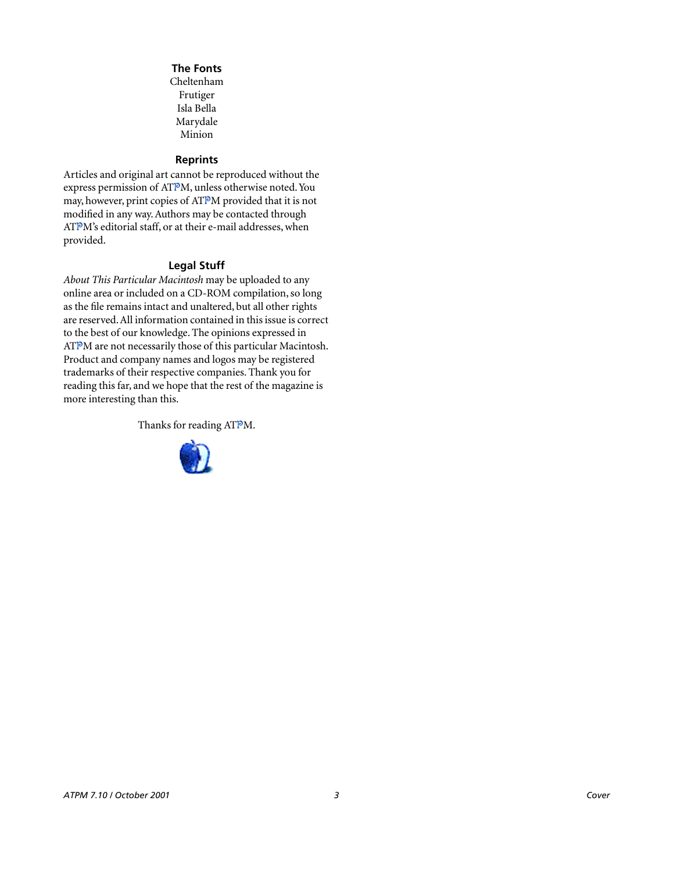#### **The Fonts**

Cheltenham Frutiger Isla Bella Marydale Minion

#### **Reprints**

Articles and original art cannot be reproduced without the express permission of ATPM, unless otherwise noted. You may, however, print copies of ATPM provided that it is not modified in any way. Authors may be contacted through ATPM's editorial staff, or at their e-mail addresses, when provided.

#### **Legal Stuff**

*About This Particular Macintosh* may be uploaded to any online area or included on a CD-ROM compilation, so long as the file remains intact and unaltered, but all other rights are reserved. All information contained in this issue is correct to the best of our knowledge. The opinions expressed in ATPM are not necessarily those of this particular Macintosh. Product and company names and logos may be registered trademarks of their respective companies. Thank you for reading this far, and we hope that the rest of the magazine is more interesting than this.

Thanks for reading ATPM.

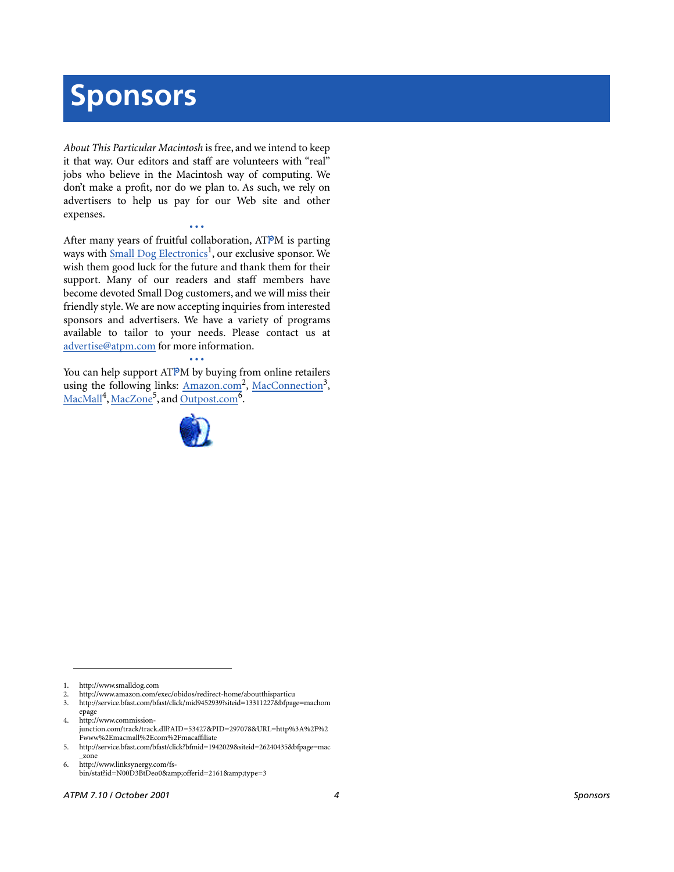# **Sponsors**

*About This Particular Macintosh* is free, and we intend to keep it that way. Our editors and staff are volunteers with "real" jobs who believe in the Macintosh way of computing. We don't make a profit, nor do we plan to. As such, we rely on advertisers to help us pay for our Web site and other expenses.

**• • •** After many years of fruitful collaboration, ATPM is parting ways with **[Small Dog Electronics](http://www.smalldog.com)<sup>1</sup>**, our exclusive sponsor. We wish them good luck for the future and thank them for their support. Many of our readers and staff members have become devoted Small Dog customers, and we will miss their friendly style. We are now accepting inquiries from interested sponsors and advertisers. We have a variety of programs available to tailor to your needs. Please contact us at [advertise@atpm.com](mailto:advertise@atpm.com) for more information.

**• • •** You can help support ATPM by buying from online retailers using the following links: Amazon.com<sup>2</sup>, MacConnection<sup>3</sup>, [MacMall](http://www.commission-junction.com/track/track.dll?AID=53427&PID=297078&URL=http%3A%2F%2Fwww%2Emacmall%2Ecom%2Fmacaffiliate)<sup>4</sup>, MacZone<sup>5</sup>, and [Outpost.com](http://www.linksynergy.com/fs-bin/stat?id=N00D3BtDeo0&offerid=2161&type=3)<sup>6</sup>.



4. http://www.commissionjunction.com/track/track.dll?AID=53427&PID=297078&URL=http%3A%2F%2 Fwww%2Emacmall%2Ecom%2Fmacaffiliate

6. http://www.linksynergy.com/fsbin/stat?id=N00D3BtDeo0&offerid=2161&type=3

<sup>1.</sup> http://www.smalldog.com

<sup>2.</sup> http://www.amazon.com/exec/obidos/redirect-home/aboutthisparticu

<sup>3.</sup> http://service.bfast.com/bfast/click/mid9452939?siteid=13311227&bfpage=machom epage

<sup>5.</sup> http://service.bfast.com/bfast/click?bfmid=1942029&siteid=26240435&bfpage=mac \_zone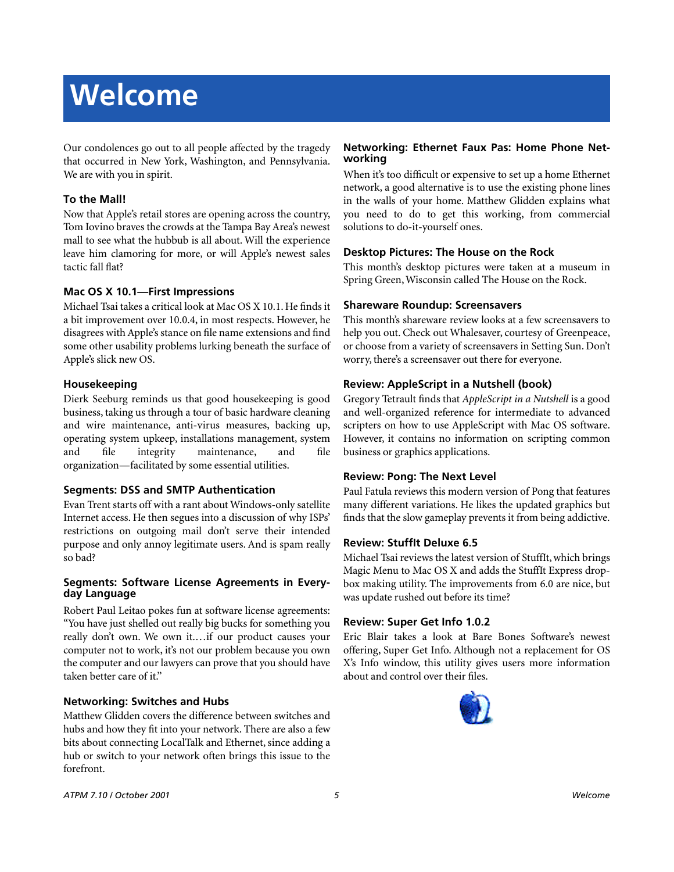# **Welcome**

Our condolences go out to all people affected by the tragedy that occurred in New York, Washington, and Pennsylvania. We are with you in spirit.

#### **To the Mall!**

Now that Apple's retail stores are opening across the country, Tom Iovino braves the crowds at the Tampa Bay Area's newest mall to see what the hubbub is all about. Will the experience leave him clamoring for more, or will Apple's newest sales tactic fall flat?

#### **Mac OS X 10.1—First Impressions**

Michael Tsai takes a critical look at Mac OS X 10.1. He finds it a bit improvement over 10.0.4, in most respects. However, he disagrees with Apple's stance on file name extensions and find some other usability problems lurking beneath the surface of Apple's slick new OS.

#### **Housekeeping**

Dierk Seeburg reminds us that good housekeeping is good business, taking us through a tour of basic hardware cleaning and wire maintenance, anti-virus measures, backing up, operating system upkeep, installations management, system and file integrity maintenance, and file organization—facilitated by some essential utilities.

#### **Segments: DSS and SMTP Authentication**

Evan Trent starts off with a rant about Windows-only satellite Internet access. He then segues into a discussion of why ISPs' restrictions on outgoing mail don't serve their intended purpose and only annoy legitimate users. And is spam really so bad?

#### **Segments: Software License Agreements in Everyday Language**

Robert Paul Leitao pokes fun at software license agreements: "You have just shelled out really big bucks for something you really don't own. We own it.…if our product causes your computer not to work, it's not our problem because you own the computer and our lawyers can prove that you should have taken better care of it."

#### **Networking: Switches and Hubs**

Matthew Glidden covers the difference between switches and hubs and how they fit into your network. There are also a few bits about connecting LocalTalk and Ethernet, since adding a hub or switch to your network often brings this issue to the forefront.

#### **Networking: Ethernet Faux Pas: Home Phone Networking**

When it's too difficult or expensive to set up a home Ethernet network, a good alternative is to use the existing phone lines in the walls of your home. Matthew Glidden explains what you need to do to get this working, from commercial solutions to do-it-yourself ones.

#### **Desktop Pictures: The House on the Rock**

This month's desktop pictures were taken at a museum in Spring Green, Wisconsin called The House on the Rock.

#### **Shareware Roundup: Screensavers**

This month's shareware review looks at a few screensavers to help you out. Check out Whalesaver, courtesy of Greenpeace, or choose from a variety of screensavers in Setting Sun. Don't worry, there's a screensaver out there for everyone.

#### **Review: AppleScript in a Nutshell (book)**

Gregory Tetrault finds that *AppleScript in a Nutshell* is a good and well-organized reference for intermediate to advanced scripters on how to use AppleScript with Mac OS software. However, it contains no information on scripting common business or graphics applications.

#### **Review: Pong: The Next Level**

Paul Fatula reviews this modern version of Pong that features many different variations. He likes the updated graphics but finds that the slow gameplay prevents it from being addictive.

#### **Review: StuffIt Deluxe 6.5**

Michael Tsai reviews the latest version of StuffIt, which brings Magic Menu to Mac OS X and adds the StuffIt Express dropbox making utility. The improvements from 6.0 are nice, but was update rushed out before its time?

#### **Review: Super Get Info 1.0.2**

Eric Blair takes a look at Bare Bones Software's newest offering, Super Get Info. Although not a replacement for OS X's Info window, this utility gives users more information about and control over their files.

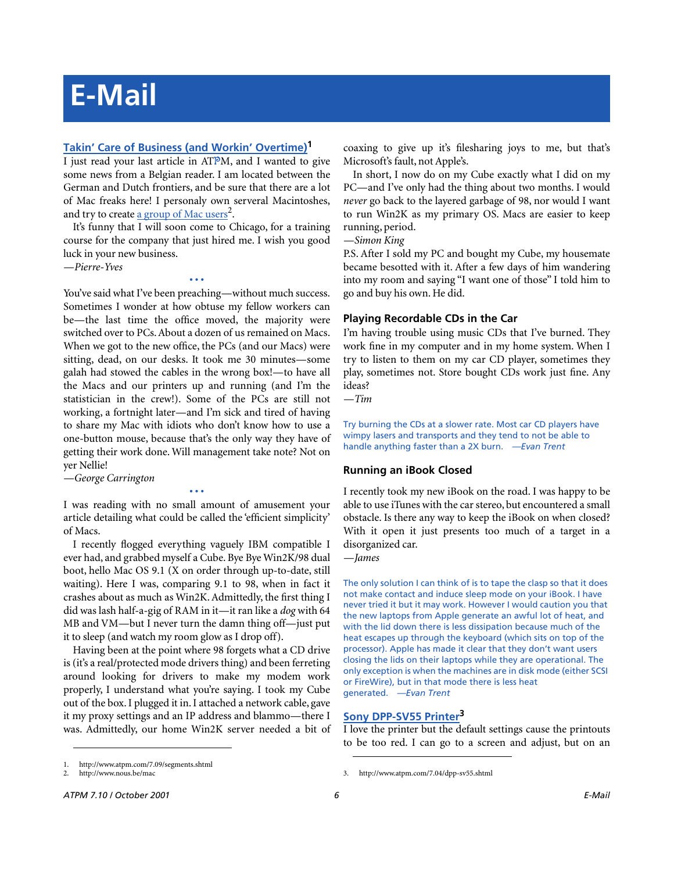## **E-Mail**

#### **[Takin' Care of Business \(and Workin' Overtime\)](http://www.atpm.com/7.09/segments.shtml)1**

I just read your last article in ATPM, and I wanted to give some news from a Belgian reader. I am located between the German and Dutch frontiers, and be sure that there are a lot of Mac freaks here! I personaly own serveral Macintoshes, and try to create [a group of Mac users](http://www.nous.be/mac)<sup>2</sup>.

It's funny that I will soon come to Chicago, for a training course for the company that just hired me. I wish you good luck in your new business.

**• • •**

*—Pierre-Yves*

You've said what I've been preaching—without much success. Sometimes I wonder at how obtuse my fellow workers can be—the last time the office moved, the majority were switched over to PCs. About a dozen of us remained on Macs. When we got to the new office, the PCs (and our Macs) were sitting, dead, on our desks. It took me 30 minutes—some galah had stowed the cables in the wrong box!—to have all the Macs and our printers up and running (and I'm the statistician in the crew!). Some of the PCs are still not working, a fortnight later—and I'm sick and tired of having to share my Mac with idiots who don't know how to use a one-button mouse, because that's the only way they have of getting their work done. Will management take note? Not on yer Nellie!

*—George Carrington*

I was reading with no small amount of amusement your article detailing what could be called the 'efficient simplicity' of Macs.

**• • •**

I recently flogged everything vaguely IBM compatible I ever had, and grabbed myself a Cube. Bye Bye Win2K/98 dual boot, hello Mac OS 9.1 (X on order through up-to-date, still waiting). Here I was, comparing 9.1 to 98, when in fact it crashes about as much as Win2K. Admittedly, the first thing I did was lash half-a-gig of RAM in it—it ran like a *dog* with 64 MB and VM—but I never turn the damn thing off—just put it to sleep (and watch my room glow as I drop off).

Having been at the point where 98 forgets what a CD drive is (it's a real/protected mode drivers thing) and been ferreting around looking for drivers to make my modem work properly, I understand what you're saying. I took my Cube out of the box. I plugged it in. I attached a network cable, gave it my proxy settings and an IP address and blammo—there I was. Admittedly, our home Win2K server needed a bit of coaxing to give up it's filesharing joys to me, but that's Microsoft's fault, not Apple's.

In short, I now do on my Cube exactly what I did on my PC—and I've only had the thing about two months. I would *never* go back to the layered garbage of 98, nor would I want to run Win2K as my primary OS. Macs are easier to keep running, period.

*—Simon King*

P.S. After I sold my PC and bought my Cube, my housemate became besotted with it. After a few days of him wandering into my room and saying "I want one of those" I told him to go and buy his own. He did.

#### **Playing Recordable CDs in the Car**

I'm having trouble using music CDs that I've burned. They work fine in my computer and in my home system. When I try to listen to them on my car CD player, sometimes they play, sometimes not. Store bought CDs work just fine. Any ideas?

*—Tim*

Try burning the CDs at a slower rate. Most car CD players have wimpy lasers and transports and they tend to not be able to handle anything faster than a 2X burn. *—Evan Trent*

#### **Running an iBook Closed**

I recently took my new iBook on the road. I was happy to be able to use iTunes with the car stereo, but encountered a small obstacle. Is there any way to keep the iBook on when closed? With it open it just presents too much of a target in a disorganized car.

*—James*

The only solution I can think of is to tape the clasp so that it does not make contact and induce sleep mode on your iBook. I have never tried it but it may work. However I would caution you that the new laptops from Apple generate an awful lot of heat, and with the lid down there is less dissipation because much of the heat escapes up through the keyboard (which sits on top of the processor). Apple has made it clear that they don't want users closing the lids on their laptops while they are operational. The only exception is when the machines are in disk mode (either SCSI or FireWire), but in that mode there is less heat generated. *—Evan Trent*

#### **[Sony DPP-SV55 Printer3](http://www.atpm.com/7.04/dpp-sv55.shtml)**

I love the printer but the default settings cause the printouts to be too red. I can go to a screen and adjust, but on an

<sup>1.</sup> http://www.atpm.com/7.09/segments.shtml<br>2. http://www.nous.be/mac

<sup>2.</sup> http://www.nous.be/mac 3. http://www.atpm.com/7.04/dpp-sv55.shtml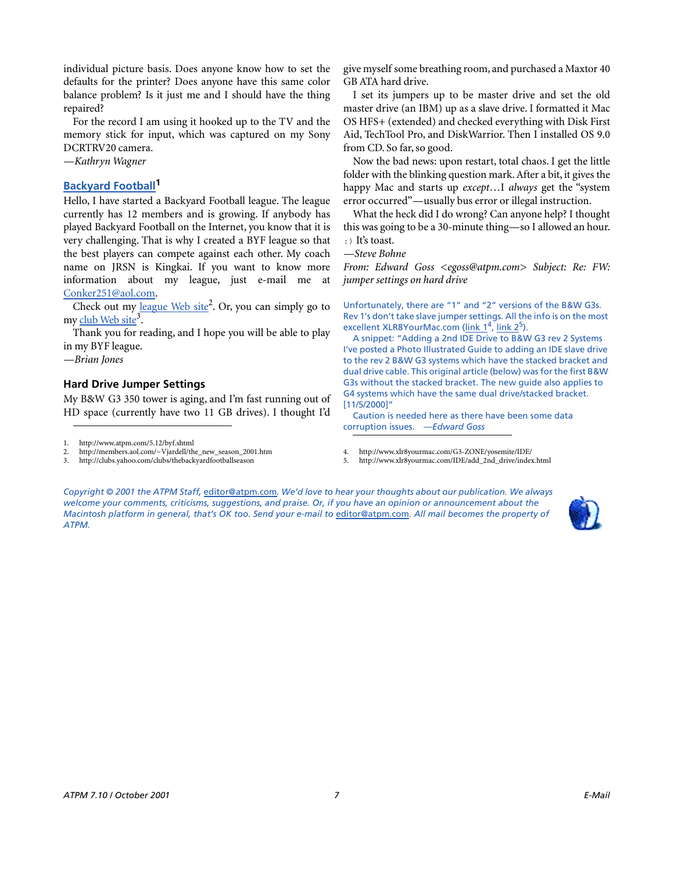individual picture basis. Does anyone know how to set the defaults for the printer? Does anyone have this same color balance problem? Is it just me and I should have the thing repaired?

For the record I am using it hooked up to the TV and the memory stick for input, which was captured on my Sony DCRTRV20 camera.

*—Kathryn Wagner*

#### **[Backyard Football](http://www.atpm.com/5.12/byf.shtml)1**

Hello, I have started a Backyard Football league. The league currently has 12 members and is growing. If anybody has played Backyard Football on the Internet, you know that it is very challenging. That is why I created a BYF league so that the best players can compete against each other. My coach name on JRSN is Kingkai. If you want to know more information about my league, just e-mail me at [Conker251@aol.com.](mailto:Conker251@aol.com)

Check out my league Web site<sup>2</sup>. Or, you can simply go to my <u>club Web site</u><sup>3</sup>.

Thank you for reading, and I hope you will be able to play in my BYF league.

*—Brian Jones*

#### **Hard Drive Jumper Settings**

My B&W G3 350 tower is aging, and I'm fast running out of HD space (currently have two 11 GB drives). I thought I'd

give myself some breathing room, and purchased a Maxtor 40 GB ATA hard drive.

I set its jumpers up to be master drive and set the old master drive (an IBM) up as a slave drive. I formatted it Mac OS HFS+ (extended) and checked everything with Disk First Aid, TechTool Pro, and DiskWarrior. Then I installed OS 9.0 from CD. So far, so good.

Now the bad news: upon restart, total chaos. I get the little folder with the blinking question mark. After a bit, it gives the happy Mac and starts up *except*…I *always* get the "system error occurred"—usually bus error or illegal instruction.

What the heck did I do wrong? Can anyone help? I thought this was going to be a 30-minute thing—so I allowed an hour. :) It's toast.

*—Steve Bohne*

*From: Edward Goss <egoss@atpm.com> Subject: Re: FW: jumper settings on hard drive*

Unfortunately, there are "1" and "2" versions of the B&W G3s. Rev 1's don't take slave jumper settings. All the info is on the most excellent XLR8YourMac.com (link  $1^4$ , link  $2^5$ ).

A snippet: "Adding a 2nd IDE Drive to B&W G3 rev 2 Systems I've posted a Photo Illustrated Guide to adding an IDE slave drive to the rev 2 B&W G3 systems which have the stacked bracket and dual drive cable. This original article (below) was for the first B&W G3s without the stacked bracket. The new guide also applies to G4 systems which have the same dual drive/stacked bracket. [11/5/2000]"

Caution is needed here as there have been some data corruption issues. *—Edward Goss*

5. http://www.xlr8yourmac.com/IDE/add\_2nd\_drive/index.html

*Copyright © 2001 the ATPM Staff,* [editor@atpm.com](mailto:editor@atpm.com)*. We'd love to hear your thoughts about our publication. We always welcome your comments, criticisms, suggestions, and praise. Or, if you have an opinion or announcement about the Macintosh platform in general, that's OK too. Send your e-mail to* [editor@atpm.com](mailto:editor@atpm.com)*. All mail becomes the property of ATPM.*



<sup>1.</sup> http://www.atpm.com/5.12/byf.shtml

<sup>2.</sup> http://members.aol.com/~Vjardell/the\_new\_season\_2001.htm

<sup>3.</sup> http://clubs.yahoo.com/clubs/thebackyardfootballseason

<sup>4.</sup> http://www.xlr8yourmac.com/G3-ZONE/yosemite/IDE/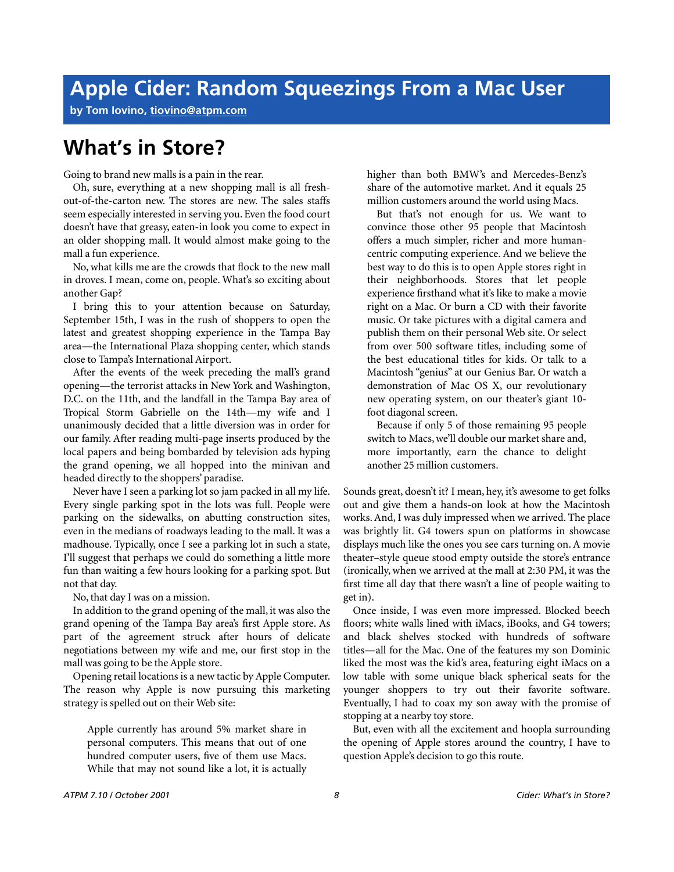**by Tom Iovino, [tiovino@atpm.com](mailto:tiovino@atpm.com)**

## **What's in Store?**

Going to brand new malls is a pain in the rear.

Oh, sure, everything at a new shopping mall is all freshout-of-the-carton new. The stores are new. The sales staffs seem especially interested in serving you. Even the food court doesn't have that greasy, eaten-in look you come to expect in an older shopping mall. It would almost make going to the mall a fun experience.

No, what kills me are the crowds that flock to the new mall in droves. I mean, come on, people. What's so exciting about another Gap?

I bring this to your attention because on Saturday, September 15th, I was in the rush of shoppers to open the latest and greatest shopping experience in the Tampa Bay area—the International Plaza shopping center, which stands close to Tampa's International Airport.

After the events of the week preceding the mall's grand opening—the terrorist attacks in New York and Washington, D.C. on the 11th, and the landfall in the Tampa Bay area of Tropical Storm Gabrielle on the 14th—my wife and I unanimously decided that a little diversion was in order for our family. After reading multi-page inserts produced by the local papers and being bombarded by television ads hyping the grand opening, we all hopped into the minivan and headed directly to the shoppers' paradise.

Never have I seen a parking lot so jam packed in all my life. Every single parking spot in the lots was full. People were parking on the sidewalks, on abutting construction sites, even in the medians of roadways leading to the mall. It was a madhouse. Typically, once I see a parking lot in such a state, I'll suggest that perhaps we could do something a little more fun than waiting a few hours looking for a parking spot. But not that day.

No, that day I was on a mission.

In addition to the grand opening of the mall, it was also the grand opening of the Tampa Bay area's first Apple store. As part of the agreement struck after hours of delicate negotiations between my wife and me, our first stop in the mall was going to be the Apple store.

Opening retail locations is a new tactic by Apple Computer. The reason why Apple is now pursuing this marketing strategy is spelled out on their Web site:

Apple currently has around 5% market share in personal computers. This means that out of one hundred computer users, five of them use Macs. While that may not sound like a lot, it is actually higher than both BMW's and Mercedes-Benz's share of the automotive market. And it equals 25 million customers around the world using Macs.

But that's not enough for us. We want to convince those other 95 people that Macintosh offers a much simpler, richer and more humancentric computing experience. And we believe the best way to do this is to open Apple stores right in their neighborhoods. Stores that let people experience firsthand what it's like to make a movie right on a Mac. Or burn a CD with their favorite music. Or take pictures with a digital camera and publish them on their personal Web site. Or select from over 500 software titles, including some of the best educational titles for kids. Or talk to a Macintosh "genius" at our Genius Bar. Or watch a demonstration of Mac OS X, our revolutionary new operating system, on our theater's giant 10 foot diagonal screen.

Because if only 5 of those remaining 95 people switch to Macs, we'll double our market share and, more importantly, earn the chance to delight another 25 million customers.

Sounds great, doesn't it? I mean, hey, it's awesome to get folks out and give them a hands-on look at how the Macintosh works. And, I was duly impressed when we arrived. The place was brightly lit. G4 towers spun on platforms in showcase displays much like the ones you see cars turning on. A movie theater–style queue stood empty outside the store's entrance (ironically, when we arrived at the mall at 2:30 PM, it was the first time all day that there wasn't a line of people waiting to get in).

Once inside, I was even more impressed. Blocked beech floors; white walls lined with iMacs, iBooks, and G4 towers; and black shelves stocked with hundreds of software titles—all for the Mac. One of the features my son Dominic liked the most was the kid's area, featuring eight iMacs on a low table with some unique black spherical seats for the younger shoppers to try out their favorite software. Eventually, I had to coax my son away with the promise of stopping at a nearby toy store.

But, even with all the excitement and hoopla surrounding the opening of Apple stores around the country, I have to question Apple's decision to go this route.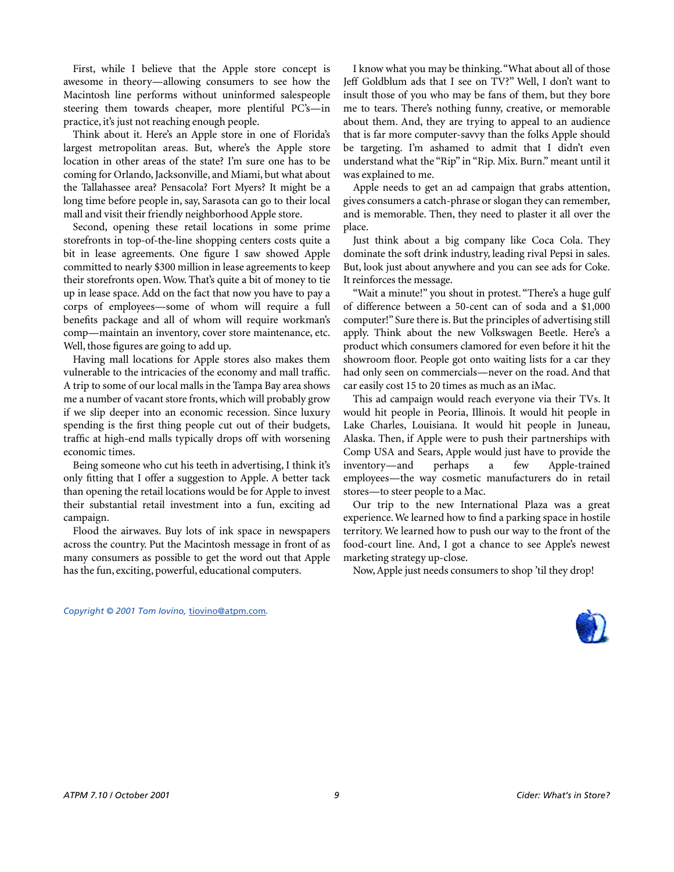First, while I believe that the Apple store concept is awesome in theory—allowing consumers to see how the Macintosh line performs without uninformed salespeople steering them towards cheaper, more plentiful PC's—in practice, it's just not reaching enough people.

Think about it. Here's an Apple store in one of Florida's largest metropolitan areas. But, where's the Apple store location in other areas of the state? I'm sure one has to be coming for Orlando, Jacksonville, and Miami, but what about the Tallahassee area? Pensacola? Fort Myers? It might be a long time before people in, say, Sarasota can go to their local mall and visit their friendly neighborhood Apple store.

Second, opening these retail locations in some prime storefronts in top-of-the-line shopping centers costs quite a bit in lease agreements. One figure I saw showed Apple committed to nearly \$300 million in lease agreements to keep their storefronts open. Wow. That's quite a bit of money to tie up in lease space. Add on the fact that now you have to pay a corps of employees—some of whom will require a full benefits package and all of whom will require workman's comp—maintain an inventory, cover store maintenance, etc. Well, those figures are going to add up.

Having mall locations for Apple stores also makes them vulnerable to the intricacies of the economy and mall traffic. A trip to some of our local malls in the Tampa Bay area shows me a number of vacant store fronts, which will probably grow if we slip deeper into an economic recession. Since luxury spending is the first thing people cut out of their budgets, traffic at high-end malls typically drops off with worsening economic times.

Being someone who cut his teeth in advertising, I think it's only fitting that I offer a suggestion to Apple. A better tack than opening the retail locations would be for Apple to invest their substantial retail investment into a fun, exciting ad campaign.

Flood the airwaves. Buy lots of ink space in newspapers across the country. Put the Macintosh message in front of as many consumers as possible to get the word out that Apple has the fun, exciting, powerful, educational computers.

I know what you may be thinking. "What about all of those Jeff Goldblum ads that I see on TV?" Well, I don't want to insult those of you who may be fans of them, but they bore me to tears. There's nothing funny, creative, or memorable about them. And, they are trying to appeal to an audience that is far more computer-savvy than the folks Apple should be targeting. I'm ashamed to admit that I didn't even understand what the "Rip" in "Rip. Mix. Burn." meant until it was explained to me.

Apple needs to get an ad campaign that grabs attention, gives consumers a catch-phrase or slogan they can remember, and is memorable. Then, they need to plaster it all over the place.

Just think about a big company like Coca Cola. They dominate the soft drink industry, leading rival Pepsi in sales. But, look just about anywhere and you can see ads for Coke. It reinforces the message.

"Wait a minute!" you shout in protest. "There's a huge gulf of difference between a 50-cent can of soda and a \$1,000 computer!" Sure there is. But the principles of advertising still apply. Think about the new Volkswagen Beetle. Here's a product which consumers clamored for even before it hit the showroom floor. People got onto waiting lists for a car they had only seen on commercials—never on the road. And that car easily cost 15 to 20 times as much as an iMac.

This ad campaign would reach everyone via their TVs. It would hit people in Peoria, Illinois. It would hit people in Lake Charles, Louisiana. It would hit people in Juneau, Alaska. Then, if Apple were to push their partnerships with Comp USA and Sears, Apple would just have to provide the inventory—and perhaps a few Apple-trained employees—the way cosmetic manufacturers do in retail stores—to steer people to a Mac.

Our trip to the new International Plaza was a great experience. We learned how to find a parking space in hostile territory. We learned how to push our way to the front of the food-court line. And, I got a chance to see Apple's newest marketing strategy up-close.

Now, Apple just needs consumers to shop 'til they drop!

*Copyright © 2001 Tom Iovino,* [tiovino@atpm.com](mailto:tiovino@atpm.com)*.*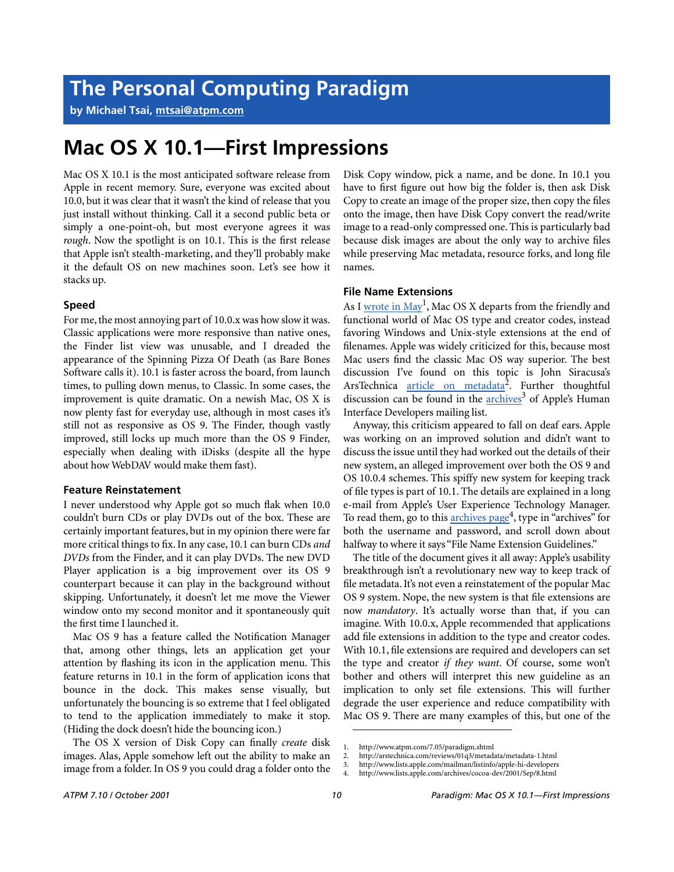**by Michael Tsai, [mtsai@atpm.com](mailto:mtsai@atpm.com)**

## **Mac OS X 10.1—First Impressions**

Mac OS X 10.1 is the most anticipated software release from Apple in recent memory. Sure, everyone was excited about 10.0, but it was clear that it wasn't the kind of release that you just install without thinking. Call it a second public beta or simply a one-point-oh, but most everyone agrees it was *rough*. Now the spotlight is on 10.1. This is the first release that Apple isn't stealth-marketing, and they'll probably make it the default OS on new machines soon. Let's see how it stacks up.

#### **Speed**

For me, the most annoying part of 10.0.x was how slow it was. Classic applications were more responsive than native ones, the Finder list view was unusable, and I dreaded the appearance of the Spinning Pizza Of Death (as Bare Bones Software calls it). 10.1 is faster across the board, from launch times, to pulling down menus, to Classic. In some cases, the improvement is quite dramatic. On a newish Mac, OS X is now plenty fast for everyday use, although in most cases it's still not as responsive as OS 9. The Finder, though vastly improved, still locks up much more than the OS 9 Finder, especially when dealing with iDisks (despite all the hype about how WebDAV would make them fast).

#### **Feature Reinstatement**

I never understood why Apple got so much flak when 10.0 couldn't burn CDs or play DVDs out of the box. These are certainly important features, but in my opinion there were far more critical things to fix. In any case, 10.1 can burn CDs *and DVDs* from the Finder, and it can play DVDs. The new DVD Player application is a big improvement over its OS 9 counterpart because it can play in the background without skipping. Unfortunately, it doesn't let me move the Viewer window onto my second monitor and it spontaneously quit the first time I launched it.

Mac OS 9 has a feature called the Notification Manager that, among other things, lets an application get your attention by flashing its icon in the application menu. This feature returns in 10.1 in the form of application icons that bounce in the dock. This makes sense visually, but unfortunately the bouncing is so extreme that I feel obligated to tend to the application immediately to make it stop. (Hiding the dock doesn't hide the bouncing icon.)

The OS X version of Disk Copy can finally *create* disk images. Alas, Apple somehow left out the ability to make an image from a folder. In OS 9 you could drag a folder onto the

Disk Copy window, pick a name, and be done. In 10.1 you have to first figure out how big the folder is, then ask Disk Copy to create an image of the proper size, then copy the files onto the image, then have Disk Copy convert the read/write image to a read-only compressed one. This is particularly bad because disk images are about the only way to archive files while preserving Mac metadata, resource forks, and long file names.

#### **File Name Extensions**

As I <u>wrote in May<sup>1</sup></u>, Mac OS X departs from the friendly and functional world of Mac OS type and creator codes, instead favoring Windows and Unix-style extensions at the end of filenames. Apple was widely criticized for this, because most Mac users find the classic Mac OS way superior. The best discussion I've found on this topic is John Siracusa's ArsTechnica article on metadata<sup>2</sup>. Further thoughtful discussion can be found in the **[archives](http://www.lists.apple.com/mailman/listinfo/apple-hi-developers)<sup>3</sup>** of Apple's Human Interface Developers mailing list.

Anyway, this criticism appeared to fall on deaf ears. Apple was working on an improved solution and didn't want to discuss the issue until they had worked out the details of their new system, an alleged improvement over both the OS 9 and OS 10.0.4 schemes. This spiffy new system for keeping track of file types is part of 10.1. The details are explained in a long e-mail from Apple's User Experience Technology Manager. To read them, go to this  $\frac{archives}{10}$  page<sup>4</sup>, type in "archives" for both the username and password, and scroll down about halfway to where it says "File Name Extension Guidelines."

The title of the document gives it all away: Apple's usability breakthrough isn't a revolutionary new way to keep track of file metadata. It's not even a reinstatement of the popular Mac OS 9 system. Nope, the new system is that file extensions are now *mandatory*. It's actually worse than that, if you can imagine. With 10.0.x, Apple recommended that applications add file extensions in addition to the type and creator codes. With 10.1, file extensions are required and developers can set the type and creator *if they want*. Of course, some won't bother and others will interpret this new guideline as an implication to only set file extensions. This will further degrade the user experience and reduce compatibility with Mac OS 9. There are many examples of this, but one of the

<sup>1.</sup> http://www.atpm.com/7.05/paradigm.shtml<br>2. http://arstechnica.com/reviews/01q3/metada

<sup>2.</sup> http://arstechnica.com/reviews/01q3/metadata/metadata-1.html<br>3. http://www.lists.apple.com/mailman/listinfo/apple-hi-developers

<sup>3.</sup> http://www.lists.apple.com/mailman/listinfo/apple-hi-developers

<sup>4.</sup> http://www.lists.apple.com/archives/cocoa-dev/2001/Sep/8.html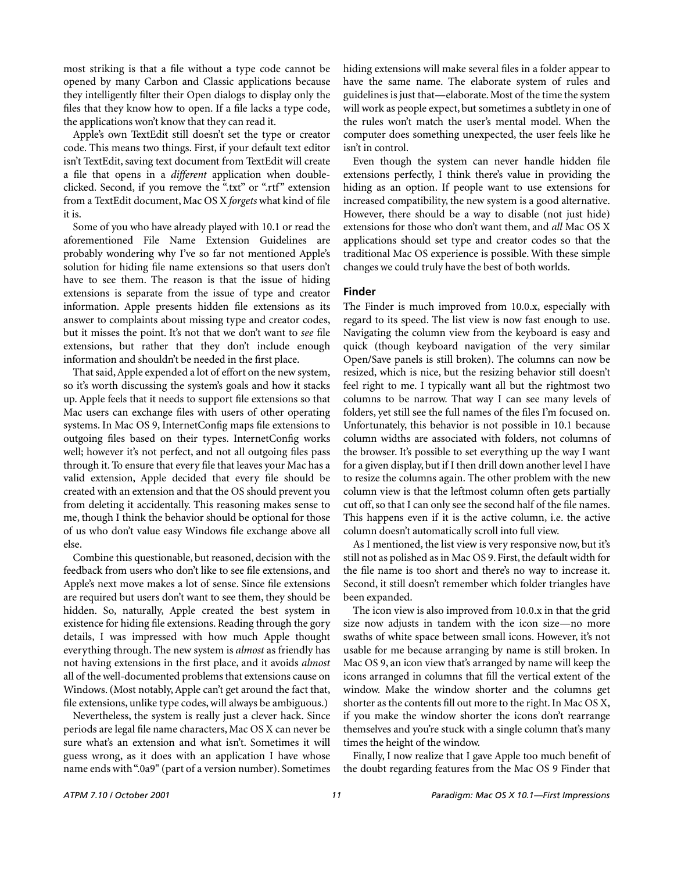most striking is that a file without a type code cannot be opened by many Carbon and Classic applications because they intelligently filter their Open dialogs to display only the files that they know how to open. If a file lacks a type code, the applications won't know that they can read it.

Apple's own TextEdit still doesn't set the type or creator code. This means two things. First, if your default text editor isn't TextEdit, saving text document from TextEdit will create a file that opens in a *different* application when doubleclicked. Second, if you remove the ".txt" or ".rtf" extension from a TextEdit document, Mac OS X *forgets* what kind of file it is.

Some of you who have already played with 10.1 or read the aforementioned File Name Extension Guidelines are probably wondering why I've so far not mentioned Apple's solution for hiding file name extensions so that users don't have to see them. The reason is that the issue of hiding extensions is separate from the issue of type and creator information. Apple presents hidden file extensions as its answer to complaints about missing type and creator codes, but it misses the point. It's not that we don't want to *see* file extensions, but rather that they don't include enough information and shouldn't be needed in the first place.

That said, Apple expended a lot of effort on the new system, so it's worth discussing the system's goals and how it stacks up. Apple feels that it needs to support file extensions so that Mac users can exchange files with users of other operating systems. In Mac OS 9, InternetConfig maps file extensions to outgoing files based on their types. InternetConfig works well; however it's not perfect, and not all outgoing files pass through it. To ensure that every file that leaves your Mac has a valid extension, Apple decided that every file should be created with an extension and that the OS should prevent you from deleting it accidentally. This reasoning makes sense to me, though I think the behavior should be optional for those of us who don't value easy Windows file exchange above all else.

Combine this questionable, but reasoned, decision with the feedback from users who don't like to see file extensions, and Apple's next move makes a lot of sense. Since file extensions are required but users don't want to see them, they should be hidden. So, naturally, Apple created the best system in existence for hiding file extensions. Reading through the gory details, I was impressed with how much Apple thought everything through. The new system is *almost* as friendly has not having extensions in the first place, and it avoids *almost* all of the well-documented problems that extensions cause on Windows. (Most notably, Apple can't get around the fact that, file extensions, unlike type codes, will always be ambiguous.)

Nevertheless, the system is really just a clever hack. Since periods are legal file name characters, Mac OS X can never be sure what's an extension and what isn't. Sometimes it will guess wrong, as it does with an application I have whose name ends with ".0a9" (part of a version number). Sometimes hiding extensions will make several files in a folder appear to have the same name. The elaborate system of rules and guidelines is just that—elaborate. Most of the time the system will work as people expect, but sometimes a subtlety in one of the rules won't match the user's mental model. When the computer does something unexpected, the user feels like he isn't in control.

Even though the system can never handle hidden file extensions perfectly, I think there's value in providing the hiding as an option. If people want to use extensions for increased compatibility, the new system is a good alternative. However, there should be a way to disable (not just hide) extensions for those who don't want them, and *all* Mac OS X applications should set type and creator codes so that the traditional Mac OS experience is possible. With these simple changes we could truly have the best of both worlds.

#### **Finder**

The Finder is much improved from 10.0.x, especially with regard to its speed. The list view is now fast enough to use. Navigating the column view from the keyboard is easy and quick (though keyboard navigation of the very similar Open/Save panels is still broken). The columns can now be resized, which is nice, but the resizing behavior still doesn't feel right to me. I typically want all but the rightmost two columns to be narrow. That way I can see many levels of folders, yet still see the full names of the files I'm focused on. Unfortunately, this behavior is not possible in 10.1 because column widths are associated with folders, not columns of the browser. It's possible to set everything up the way I want for a given display, but if I then drill down another level I have to resize the columns again. The other problem with the new column view is that the leftmost column often gets partially cut off, so that I can only see the second half of the file names. This happens even if it is the active column, i.e. the active column doesn't automatically scroll into full view.

As I mentioned, the list view is very responsive now, but it's still not as polished as in Mac OS 9. First, the default width for the file name is too short and there's no way to increase it. Second, it still doesn't remember which folder triangles have been expanded.

The icon view is also improved from 10.0.x in that the grid size now adjusts in tandem with the icon size—no more swaths of white space between small icons. However, it's not usable for me because arranging by name is still broken. In Mac OS 9, an icon view that's arranged by name will keep the icons arranged in columns that fill the vertical extent of the window. Make the window shorter and the columns get shorter as the contents fill out more to the right. In Mac OS X, if you make the window shorter the icons don't rearrange themselves and you're stuck with a single column that's many times the height of the window.

Finally, I now realize that I gave Apple too much benefit of the doubt regarding features from the Mac OS 9 Finder that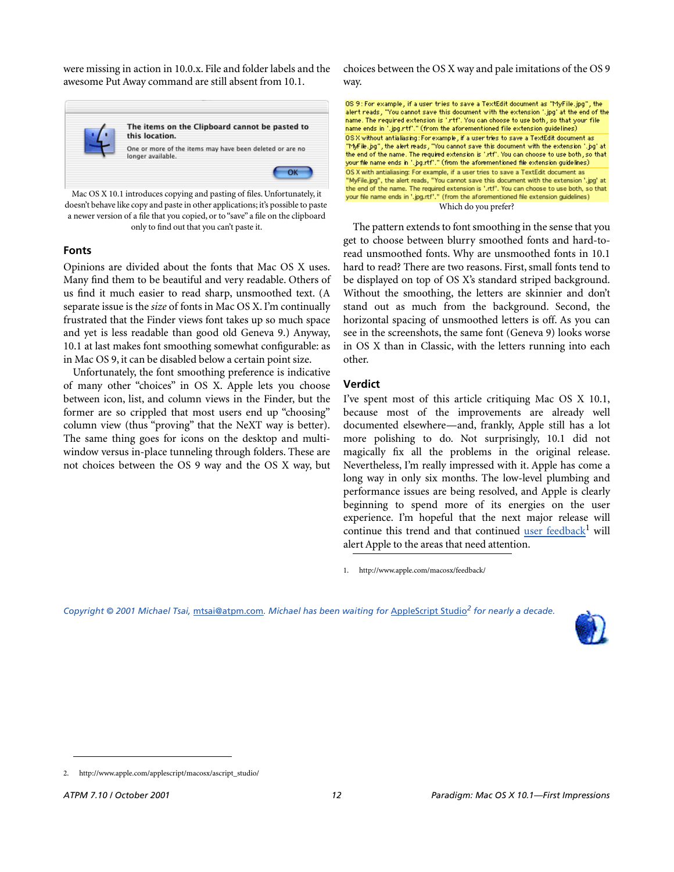were missing in action in 10.0.x. File and folder labels and the awesome Put Away command are still absent from 10.1.



Mac OS X 10.1 introduces copying and pasting of files. Unfortunately, it doesn't behave like copy and paste in other applications; it's possible to paste a newer version of a file that you copied, or to "save" a file on the clipboard only to find out that you can't paste it.

#### **Fonts**

Opinions are divided about the fonts that Mac OS X uses. Many find them to be beautiful and very readable. Others of us find it much easier to read sharp, unsmoothed text. (A separate issue is the *size* of fonts in Mac OS X. I'm continually frustrated that the Finder views font takes up so much space and yet is less readable than good old Geneva 9.) Anyway, 10.1 at last makes font smoothing somewhat configurable: as in Mac OS 9, it can be disabled below a certain point size.

Unfortunately, the font smoothing preference is indicative of many other "choices" in OS X. Apple lets you choose between icon, list, and column views in the Finder, but the former are so crippled that most users end up "choosing" column view (thus "proving" that the NeXT way is better). The same thing goes for icons on the desktop and multiwindow versus in-place tunneling through folders. These are not choices between the OS 9 way and the OS X way, but choices between the OS X way and pale imitations of the OS 9 way.

| OS 9 : For example , if a user tries to save a TextEdit document as "MyFile.jpg" , the      |
|---------------------------------------------------------------------------------------------|
| alert reads, "You cannot save this document with the extension ".jpg" at the end of the     |
| name. The required extension is ".rtf". You can choose to use both , so that your file      |
| name ends in '.jpg.rtf'." (from the aforementioned file extension quidelines).              |
| OS X without antialiasing: For example , if a user tries to save a TextEdit document as     |
| "MyFile, pg", the alert reads, "You cannot save this document with the extension ". pg" at  |
| the end of the name. The required extension is ".rtf". You can choose to use both , so that |
| your file name ends in ".jpg.rtf"." (from the aforementioned file extension guidelines).    |
| OS X with antialiasing: For example, if a user tries to save a TextEdit document as         |
| "MyFile.jpg", the alert reads, "You cannot save this document with the extension '.jpg' at  |
| the end of the name. The required extension is '.rtf'. You can choose to use both, so that  |
| your file name ends in '.jpg.rtf'." (from the aforementioned file extension quidelines)     |
| Which do you prefer?                                                                        |

The pattern extends to font smoothing in the sense that you get to choose between blurry smoothed fonts and hard-toread unsmoothed fonts. Why are unsmoothed fonts in 10.1 hard to read? There are two reasons. First, small fonts tend to be displayed on top of OS X's standard striped background. Without the smoothing, the letters are skinnier and don't stand out as much from the background. Second, the horizontal spacing of unsmoothed letters is off. As you can see in the screenshots, the same font (Geneva 9) looks worse in OS X than in Classic, with the letters running into each other.

#### **Verdict**

I've spent most of this article critiquing Mac OS X 10.1, because most of the improvements are already well documented elsewhere—and, frankly, Apple still has a lot more polishing to do. Not surprisingly, 10.1 did not magically fix all the problems in the original release. Nevertheless, I'm really impressed with it. Apple has come a long way in only six months. The low-level plumbing and performance issues are being resolved, and Apple is clearly beginning to spend more of its energies on the user experience. I'm hopeful that the next major release will continue this trend and that continued [user feedback](http://www.apple.com/macosx/feedback/)<sup>1</sup> will alert Apple to the areas that need attention.

*Copyright © 2001 Michael Tsai,* [mtsai@atpm.com](mailto:mtsai@atpm.com)*. Michael has been waiting for* [AppleScript Studio](http://www.apple.com/applescript/macosx/ascript_studio/)*2 for nearly a decade.*



<sup>1.</sup> http://www.apple.com/macosx/feedback/

<sup>2.</sup> http://www.apple.com/applescript/macosx/ascript\_studio/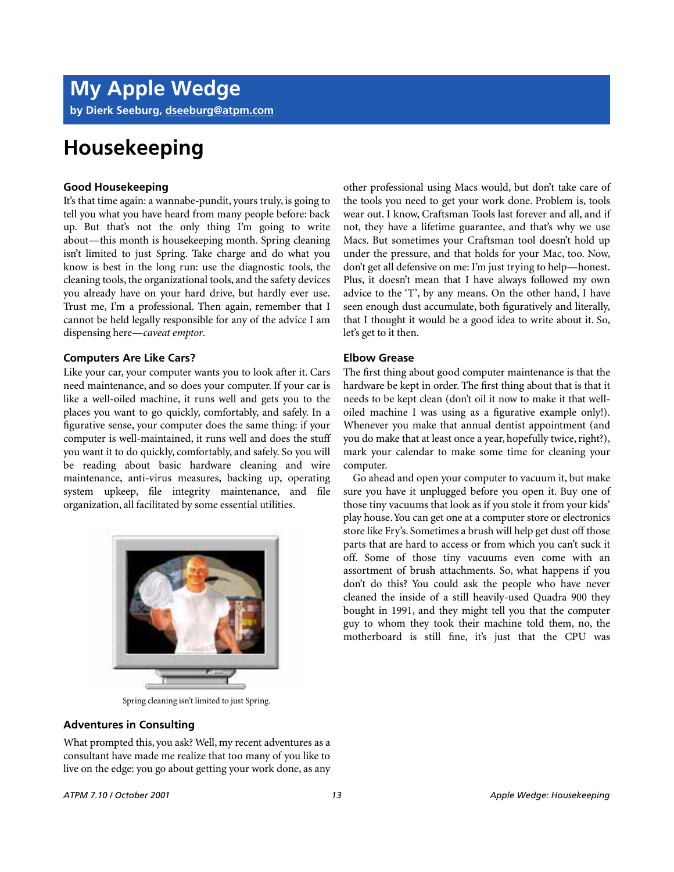## **Housekeeping**

#### **Good Housekeeping**

It's that time again: a wannabe-pundit, yours truly, is going to tell you what you have heard from many people before: back up. But that's not the only thing I'm going to write about—this month is housekeeping month. Spring cleaning isn't limited to just Spring. Take charge and do what you know is best in the long run: use the diagnostic tools, the cleaning tools, the organizational tools, and the safety devices you already have on your hard drive, but hardly ever use. Trust me, I'm a professional. Then again, remember that I cannot be held legally responsible for any of the advice I am dispensing here—*caveat emptor*.

#### **Computers Are Like Cars?**

Like your car, your computer wants you to look after it. Cars need maintenance, and so does your computer. If your car is like a well-oiled machine, it runs well and gets you to the places you want to go quickly, comfortably, and safely. In a figurative sense, your computer does the same thing: if your computer is well-maintained, it runs well and does the stuff you want it to do quickly, comfortably, and safely. So you will be reading about basic hardware cleaning and wire maintenance, anti-virus measures, backing up, operating system upkeep, file integrity maintenance, and file organization, all facilitated by some essential utilities.



Spring cleaning isn't limited to just Spring.

#### **Adventures in Consulting**

What prompted this, you ask? Well, my recent adventures as a consultant have made me realize that too many of you like to live on the edge: you go about getting your work done, as any

other professional using Macs would, but don't take care of the tools you need to get your work done. Problem is, tools wear out. I know, Craftsman Tools last forever and all, and if not, they have a lifetime guarantee, and that's why we use Macs. But sometimes your Craftsman tool doesn't hold up under the pressure, and that holds for your Mac, too. Now, don't get all defensive on me: I'm just trying to help—honest. Plus, it doesn't mean that I have always followed my own advice to the 'T', by any means. On the other hand, I have seen enough dust accumulate, both figuratively and literally, that I thought it would be a good idea to write about it. So, let's get to it then.

#### **Elbow Grease**

The first thing about good computer maintenance is that the hardware be kept in order. The first thing about that is that it needs to be kept clean (don't oil it now to make it that welloiled machine I was using as a figurative example only!). Whenever you make that annual dentist appointment (and you do make that at least once a year, hopefully twice, right?), mark your calendar to make some time for cleaning your computer.

Go ahead and open your computer to vacuum it, but make sure you have it unplugged before you open it. Buy one of those tiny vacuums that look as if you stole it from your kids' play house. You can get one at a computer store or electronics store like Fry's. Sometimes a brush will help get dust off those parts that are hard to access or from which you can't suck it off. Some of those tiny vacuums even come with an assortment of brush attachments. So, what happens if you don't do this? You could ask the people who have never cleaned the inside of a still heavily-used Quadra 900 they bought in 1991, and they might tell you that the computer guy to whom they took their machine told them, no, the motherboard is still fine, it's just that the CPU was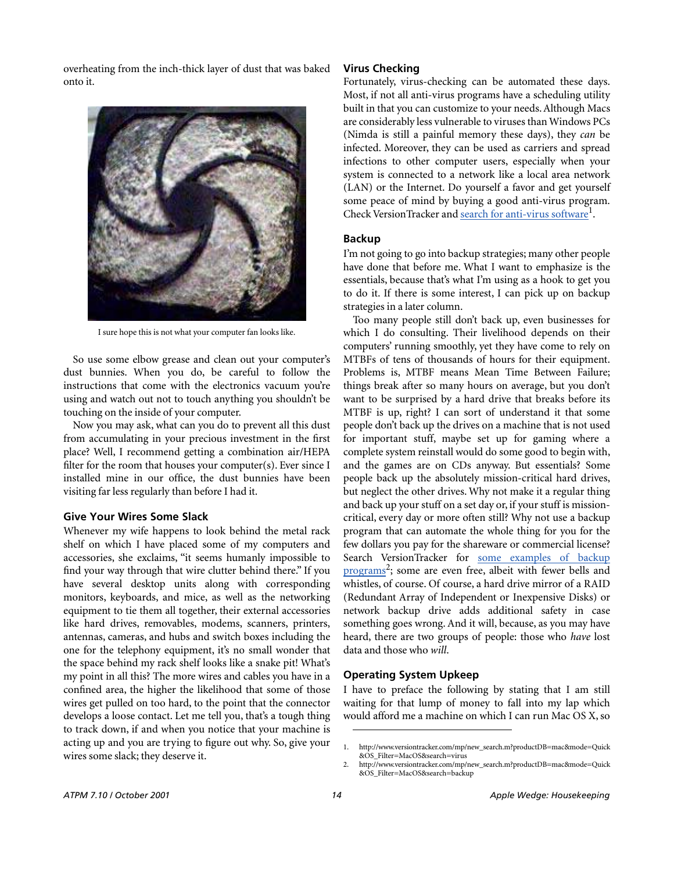overheating from the inch-thick layer of dust that was baked onto it.



I sure hope this is not what your computer fan looks like.

So use some elbow grease and clean out your computer's dust bunnies. When you do, be careful to follow the instructions that come with the electronics vacuum you're using and watch out not to touch anything you shouldn't be touching on the inside of your computer.

Now you may ask, what can you do to prevent all this dust from accumulating in your precious investment in the first place? Well, I recommend getting a combination air/HEPA filter for the room that houses your computer(s). Ever since I installed mine in our office, the dust bunnies have been visiting far less regularly than before I had it.

#### **Give Your Wires Some Slack**

Whenever my wife happens to look behind the metal rack shelf on which I have placed some of my computers and accessories, she exclaims, "it seems humanly impossible to find your way through that wire clutter behind there." If you have several desktop units along with corresponding monitors, keyboards, and mice, as well as the networking equipment to tie them all together, their external accessories like hard drives, removables, modems, scanners, printers, antennas, cameras, and hubs and switch boxes including the one for the telephony equipment, it's no small wonder that the space behind my rack shelf looks like a snake pit! What's my point in all this? The more wires and cables you have in a confined area, the higher the likelihood that some of those wires get pulled on too hard, to the point that the connector develops a loose contact. Let me tell you, that's a tough thing to track down, if and when you notice that your machine is acting up and you are trying to figure out why. So, give your wires some slack; they deserve it.

#### **Virus Checking**

Fortunately, virus-checking can be automated these days. Most, if not all anti-virus programs have a scheduling utility built in that you can customize to your needs. Although Macs are considerably less vulnerable to viruses than Windows PCs (Nimda is still a painful memory these days), they *can* be infected. Moreover, they can be used as carriers and spread infections to other computer users, especially when your system is connected to a network like a local area network (LAN) or the Internet. Do yourself a favor and get yourself some peace of mind by buying a good anti-virus program. Check VersionTracker and search for anti-virus software<sup>1</sup>.

#### **Backup**

I'm not going to go into backup strategies; many other people have done that before me. What I want to emphasize is the essentials, because that's what I'm using as a hook to get you to do it. If there is some interest, I can pick up on backup strategies in a later column.

Too many people still don't back up, even businesses for which I do consulting. Their livelihood depends on their computers' running smoothly, yet they have come to rely on MTBFs of tens of thousands of hours for their equipment. Problems is, MTBF means Mean Time Between Failure; things break after so many hours on average, but you don't want to be surprised by a hard drive that breaks before its MTBF is up, right? I can sort of understand it that some people don't back up the drives on a machine that is not used for important stuff, maybe set up for gaming where a complete system reinstall would do some good to begin with, and the games are on CDs anyway. But essentials? Some people back up the absolutely mission-critical hard drives, but neglect the other drives. Why not make it a regular thing and back up your stuff on a set day or, if your stuff is missioncritical, every day or more often still? Why not use a backup program that can automate the whole thing for you for the few dollars you pay for the shareware or commercial license? Search VersionTracker for [some examples of backup](http://www.versiontracker.com/mp/new_search.m?productDB=mac&mode=Quick&OS_Filter=MacOS&search=backup) [programs](http://www.versiontracker.com/mp/new_search.m?productDB=mac&mode=Quick&OS_Filter=MacOS&search=backup)<sup>2</sup>; some are even free, albeit with fewer bells and whistles, of course. Of course, a hard drive mirror of a RAID (Redundant Array of Independent or Inexpensive Disks) or network backup drive adds additional safety in case something goes wrong. And it will, because, as you may have heard, there are two groups of people: those who *have* lost data and those who *will*.

#### **Operating System Upkeep**

I have to preface the following by stating that I am still waiting for that lump of money to fall into my lap which would afford me a machine on which I can run Mac OS X, so

<sup>1.</sup> http://www.versiontracker.com/mp/new\_search.m?productDB=mac&mode=Quick &OS\_Filter=MacOS&search=virus

<sup>2.</sup> http://www.versiontracker.com/mp/new\_search.m?productDB=mac&mode=Quick &OS\_Filter=MacOS&search=backup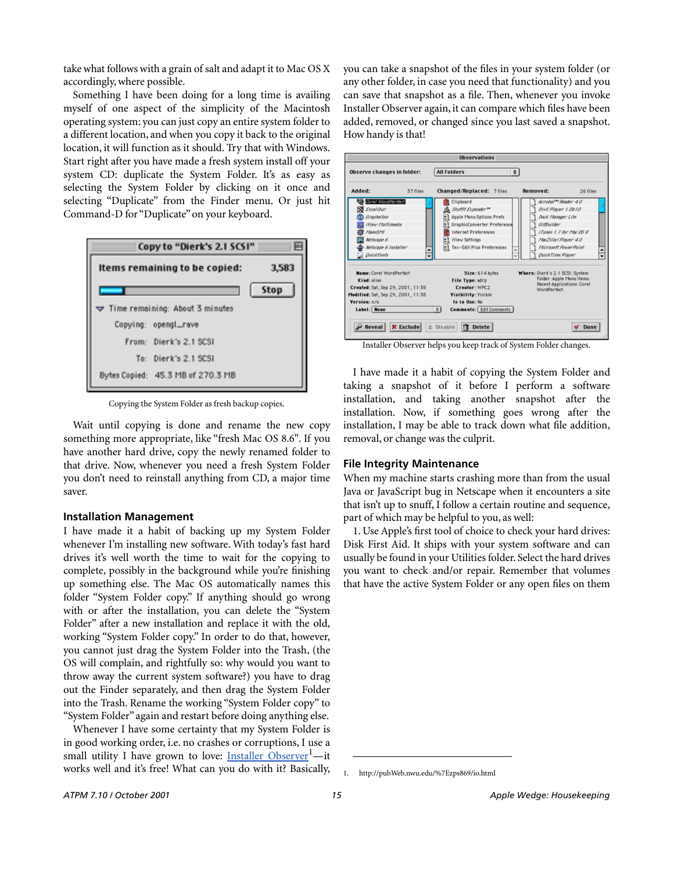take what follows with a grain of salt and adapt it to Mac OS X accordingly, where possible.

Something I have been doing for a long time is availing myself of one aspect of the simplicity of the Macintosh operating system: you can just copy an entire system folder to a different location, and when you copy it back to the original location, it will function as it should. Try that with Windows. Start right after you have made a fresh system install off your system CD: duplicate the System Folder. It's as easy as selecting the System Folder by clicking on it once and selecting "Duplicate" from the Finder menu. Or just hit Command-D for "Duplicate" on your keyboard.



Copying the System Folder as fresh backup copies.

Wait until copying is done and rename the new copy something more appropriate, like "fresh Mac OS 8.6". If you have another hard drive, copy the newly renamed folder to that drive. Now, whenever you need a fresh System Folder you don't need to reinstall anything from CD, a major time saver.

#### **Installation Management**

I have made it a habit of backing up my System Folder whenever I'm installing new software. With today's fast hard drives it's well worth the time to wait for the copying to complete, possibly in the background while you're finishing up something else. The Mac OS automatically names this folder "System Folder copy." If anything should go wrong with or after the installation, you can delete the "System Folder" after a new installation and replace it with the old, working "System Folder copy." In order to do that, however, you cannot just drag the System Folder into the Trash, (the OS will complain, and rightfully so: why would you want to throw away the current system software?) you have to drag out the Finder separately, and then drag the System Folder into the Trash. Rename the working "System Folder copy" to "System Folder" again and restart before doing anything else.

Whenever I have some certainty that my System Folder is in good working order, i.e. no crashes or corruptions, I use a small utility I have grown to love: [Installer Observer](http://pubWeb.nwu.edu/%7Ezps869/io.html)<sup>1</sup>-it works well and it's free! What can you do with it? Basically, you can take a snapshot of the files in your system folder (or any other folder, in case you need that functionality) and you can save that snapshot as a file. Then, whenever you invoke Installer Observer again, it can compare which files have been added, removed, or changed since you last saved a snapshot. How handy is that!



Installer Observer helps you keep track of System Folder changes.

I have made it a habit of copying the System Folder and taking a snapshot of it before I perform a software installation, and taking another snapshot after the installation. Now, if something goes wrong after the installation, I may be able to track down what file addition, removal, or change was the culprit.

#### **File Integrity Maintenance**

When my machine starts crashing more than from the usual Java or JavaScript bug in Netscape when it encounters a site that isn't up to snuff, I follow a certain routine and sequence, part of which may be helpful to you, as well:

1. Use Apple's first tool of choice to check your hard drives: Disk First Aid. It ships with your system software and can usually be found in your Utilities folder. Select the hard drives you want to check and/or repair. Remember that volumes that have the active System Folder or any open files on them

<sup>1.</sup> http://pubWeb.nwu.edu/%7Ezps869/io.html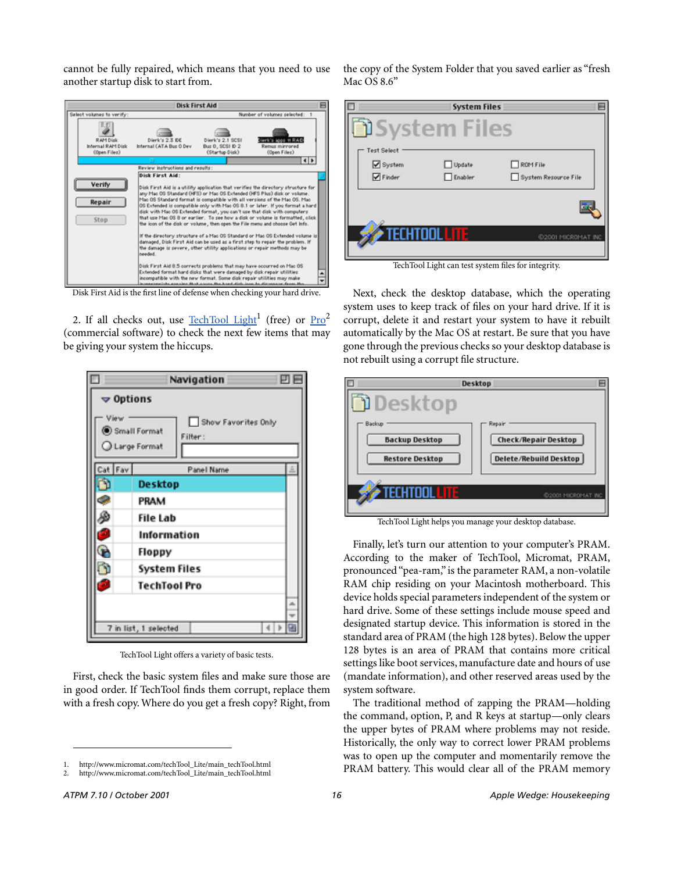cannot be fully repaired, which means that you need to use another startup disk to start from.



2. If all checks out, use  $TechnPool Light<sup>1</sup> (free)$  or  $Pro<sup>2</sup>$  $Pro<sup>2</sup>$  $Pro<sup>2</sup>$ </u></u> (commercial software) to check the next few items that may be giving your system the hiccups.

| п                             | Navigation                                                     | 凹田 |
|-------------------------------|----------------------------------------------------------------|----|
| $\blacktriangleright$ Options |                                                                |    |
| View                          | Show Favorites Only<br>Small Format<br>Filter:<br>Large Format |    |
| Cat Fav                       | Panel Name                                                     |    |
|                               | <b>Desktop</b>                                                 |    |
|                               | PRAM                                                           |    |
|                               | <b>File Lab</b>                                                |    |
|                               | Information                                                    |    |
|                               | Floppy                                                         |    |
|                               | System Files                                                   |    |
| 5,                            | <b>TechTool Pro</b>                                            |    |
|                               |                                                                |    |
|                               | $\left\  \cdot \right\ $<br>7 in list, 1 selected              |    |

TechTool Light offers a variety of basic tests.

First, check the basic system files and make sure those are in good order. If TechTool finds them corrupt, replace them with a fresh copy. Where do you get a fresh copy? Right, from the copy of the System Folder that you saved earlier as "fresh Mac OS 8.6"

|                    | <b>System Files</b> |                      |  |
|--------------------|---------------------|----------------------|--|
|                    | <b>System Files</b> |                      |  |
| <b>Test Select</b> |                     |                      |  |
| System             | Update              | $\Box$ ROM File      |  |
| $\sqrt{}$ Finder   | Enabler             | System Resource File |  |
|                    |                     |                      |  |
|                    |                     |                      |  |
| TECHTOOL LITE      |                     |                      |  |
|                    |                     | @2001 MICROMAT INC   |  |
|                    |                     |                      |  |

TechTool Light can test system files for integrity.

Next, check the desktop database, which the operating system uses to keep track of files on your hard drive. If it is corrupt, delete it and restart your system to have it rebuilt automatically by the Mac OS at restart. Be sure that you have gone through the previous checks so your desktop database is not rebuilt using a corrupt file structure.



TechTool Light helps you manage your desktop database.

Finally, let's turn our attention to your computer's PRAM. According to the maker of TechTool, Micromat, PRAM, pronounced "pea-ram," is the parameter RAM, a non-volatile RAM chip residing on your Macintosh motherboard. This device holds special parameters independent of the system or hard drive. Some of these settings include mouse speed and designated startup device. This information is stored in the standard area of PRAM (the high 128 bytes). Below the upper 128 bytes is an area of PRAM that contains more critical settings like boot services, manufacture date and hours of use (mandate information), and other reserved areas used by the system software.

The traditional method of zapping the PRAM—holding the command, option, P, and R keys at startup—only clears the upper bytes of PRAM where problems may not reside. Historically, the only way to correct lower PRAM problems was to open up the computer and momentarily remove the PRAM battery. This would clear all of the PRAM memory

<sup>1.</sup> http://www.micromat.com/techTool\_Lite/main\_techTool.html

<sup>2.</sup> http://www.micromat.com/techTool\_Lite/main\_techTool.html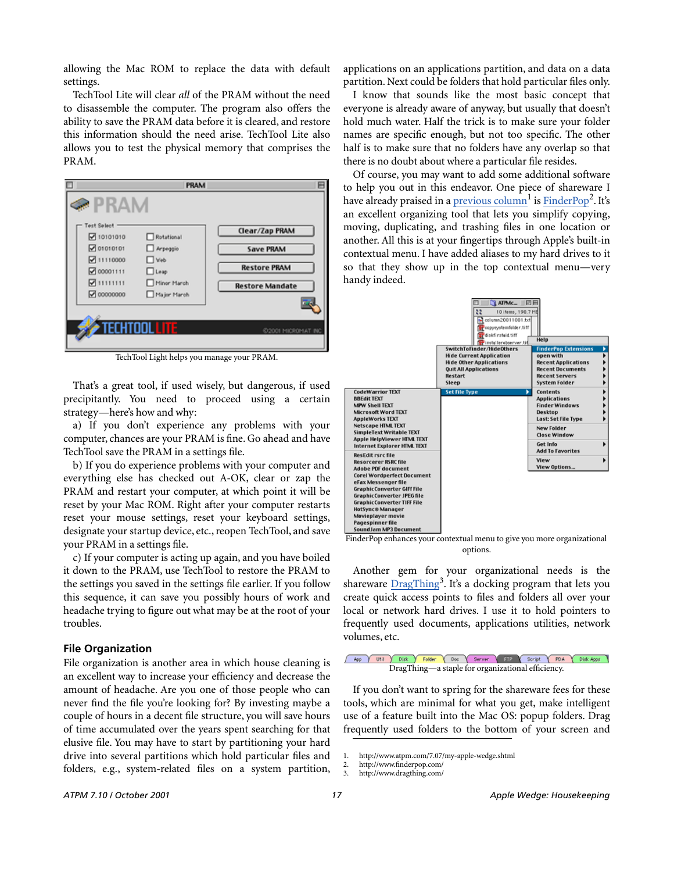allowing the Mac ROM to replace the data with default settings.

TechTool Lite will clear *all* of the PRAM without the need to disassemble the computer. The program also offers the ability to save the PRAM data before it is cleared, and restore this information should the need arise. TechTool Lite also allows you to test the physical memory that comprises the PRAM.



TechTool Light helps you manage your PRAM.

That's a great tool, if used wisely, but dangerous, if used precipitantly. You need to proceed using a certain strategy—here's how and why:

a) If you don't experience any problems with your computer, chances are your PRAM is fine. Go ahead and have TechTool save the PRAM in a settings file.

b) If you do experience problems with your computer and everything else has checked out A-OK, clear or zap the PRAM and restart your computer, at which point it will be reset by your Mac ROM. Right after your computer restarts reset your mouse settings, reset your keyboard settings, designate your startup device, etc., reopen TechTool, and save your PRAM in a settings file.

c) If your computer is acting up again, and you have boiled it down to the PRAM, use TechTool to restore the PRAM to the settings you saved in the settings file earlier. If you follow this sequence, it can save you possibly hours of work and headache trying to figure out what may be at the root of your troubles.

#### **File Organization**

File organization is another area in which house cleaning is an excellent way to increase your efficiency and decrease the amount of headache. Are you one of those people who can never find the file you're looking for? By investing maybe a couple of hours in a decent file structure, you will save hours of time accumulated over the years spent searching for that elusive file. You may have to start by partitioning your hard drive into several partitions which hold particular files and folders, e.g., system-related files on a system partition,

applications on an applications partition, and data on a data partition. Next could be folders that hold particular files only.

I know that sounds like the most basic concept that everyone is already aware of anyway, but usually that doesn't hold much water. Half the trick is to make sure your folder names are specific enough, but not too specific. The other half is to make sure that no folders have any overlap so that there is no doubt about where a particular file resides.

Of course, you may want to add some additional software to help you out in this endeavor. One piece of shareware I have already praised in a **[previous column](http://www.atpm.com/7.07/my-apple-wedge.shtml)<sup>1</sup>** is **[FinderPop](http://www.finderpop.com/)<sup>2</sup>.** It's an excellent organizing tool that lets you simplify copying, moving, duplicating, and trashing files in one location or another. All this is at your fingertips through Apple's built-in contextual menu. I have added aliases to my hard drives to it so that they show up in the top contextual menu—very handy indeed.



FinderPop enhances your contextual menu to give you more organizational options.

Another gem for your organizational needs is the shareware **[DragThing](http://www.dragthing.com/)**<sup>3</sup>. It's a docking program that lets you create quick access points to files and folders all over your local or network hard drives. I use it to hold pointers to frequently used documents, applications utilities, network volumes, etc.



If you don't want to spring for the shareware fees for these tools, which are minimal for what you get, make intelligent use of a feature built into the Mac OS: popup folders. Drag frequently used folders to the bottom of your screen and

<sup>1.</sup> http://www.atpm.com/7.07/my-apple-wedge.shtml

<sup>2.</sup> http://www.finderpop.com/<br>3. http://www.dragthing.com/

<sup>3.</sup> http://www.dragthing.com/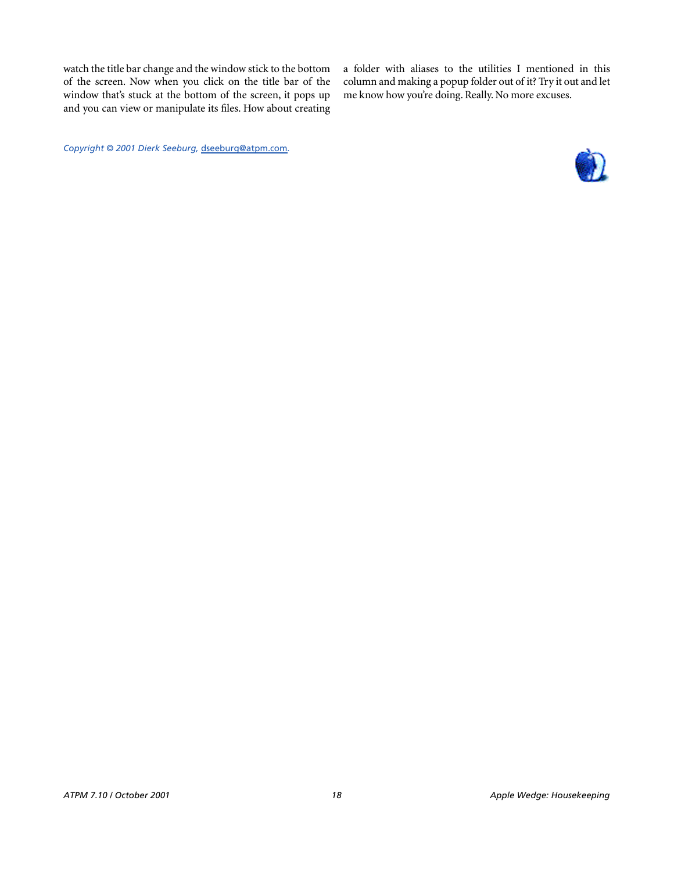watch the title bar change and the window stick to the bottom of the screen. Now when you click on the title bar of the window that's stuck at the bottom of the screen, it pops up and you can view or manipulate its files. How about creating

a folder with aliases to the utilities I mentioned in this column and making a popup folder out of it? Try it out and let me know how you're doing. Really. No more excuses.

*Copyright © 2001 Dierk Seeburg,* [dseeburg@atpm.com](mailto:dseeburg@atpm.com)*.*

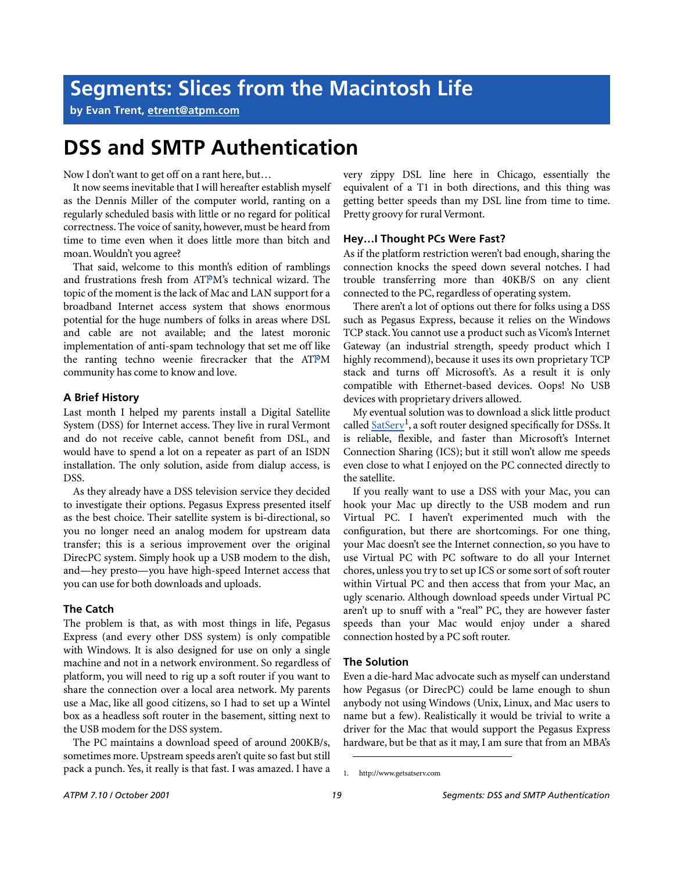**by Evan Trent, [etrent@atpm.com](mailto:etrent@atpm.com)**

## **DSS and SMTP Authentication**

Now I don't want to get off on a rant here, but…

It now seems inevitable that I will hereafter establish myself as the Dennis Miller of the computer world, ranting on a regularly scheduled basis with little or no regard for political correctness. The voice of sanity, however, must be heard from time to time even when it does little more than bitch and moan. Wouldn't you agree?

That said, welcome to this month's edition of ramblings and frustrations fresh from ATPM's technical wizard. The topic of the moment is the lack of Mac and LAN support for a broadband Internet access system that shows enormous potential for the huge numbers of folks in areas where DSL and cable are not available; and the latest moronic implementation of anti-spam technology that set me off like the ranting techno weenie firecracker that the ATPM community has come to know and love.

#### **A Brief History**

Last month I helped my parents install a Digital Satellite System (DSS) for Internet access. They live in rural Vermont and do not receive cable, cannot benefit from DSL, and would have to spend a lot on a repeater as part of an ISDN installation. The only solution, aside from dialup access, is DSS.

As they already have a DSS television service they decided to investigate their options. Pegasus Express presented itself as the best choice. Their satellite system is bi-directional, so you no longer need an analog modem for upstream data transfer; this is a serious improvement over the original DirecPC system. Simply hook up a USB modem to the dish, and—hey presto—you have high-speed Internet access that you can use for both downloads and uploads.

#### **The Catch**

The problem is that, as with most things in life, Pegasus Express (and every other DSS system) is only compatible with Windows. It is also designed for use on only a single machine and not in a network environment. So regardless of platform, you will need to rig up a soft router if you want to share the connection over a local area network. My parents use a Mac, like all good citizens, so I had to set up a Wintel box as a headless soft router in the basement, sitting next to the USB modem for the DSS system.

The PC maintains a download speed of around 200KB/s, sometimes more. Upstream speeds aren't quite so fast but still pack a punch. Yes, it really is that fast. I was amazed. I have a very zippy DSL line here in Chicago, essentially the equivalent of a T1 in both directions, and this thing was getting better speeds than my DSL line from time to time. Pretty groovy for rural Vermont.

#### **Hey…I Thought PCs Were Fast?**

As if the platform restriction weren't bad enough, sharing the connection knocks the speed down several notches. I had trouble transferring more than 40KB/S on any client connected to the PC, regardless of operating system.

There aren't a lot of options out there for folks using a DSS such as Pegasus Express, because it relies on the Windows TCP stack. You cannot use a product such as Vicom's Internet Gateway (an industrial strength, speedy product which I highly recommend), because it uses its own proprietary TCP stack and turns off Microsoft's. As a result it is only compatible with Ethernet-based devices. Oops! No USB devices with proprietary drivers allowed.

My eventual solution was to download a slick little product called [SatServ](http://www.getsatserv.com)<sup>1</sup>, a soft router designed specifically for DSSs. It is reliable, flexible, and faster than Microsoft's Internet Connection Sharing (ICS); but it still won't allow me speeds even close to what I enjoyed on the PC connected directly to the satellite.

If you really want to use a DSS with your Mac, you can hook your Mac up directly to the USB modem and run Virtual PC. I haven't experimented much with the configuration, but there are shortcomings. For one thing, your Mac doesn't see the Internet connection, so you have to use Virtual PC with PC software to do all your Internet chores, unless you try to set up ICS or some sort of soft router within Virtual PC and then access that from your Mac, an ugly scenario. Although download speeds under Virtual PC aren't up to snuff with a "real" PC, they are however faster speeds than your Mac would enjoy under a shared connection hosted by a PC soft router.

#### **The Solution**

Even a die-hard Mac advocate such as myself can understand how Pegasus (or DirecPC) could be lame enough to shun anybody not using Windows (Unix, Linux, and Mac users to name but a few). Realistically it would be trivial to write a driver for the Mac that would support the Pegasus Express hardware, but be that as it may, I am sure that from an MBA's

<sup>1.</sup> http://www.getsatserv.com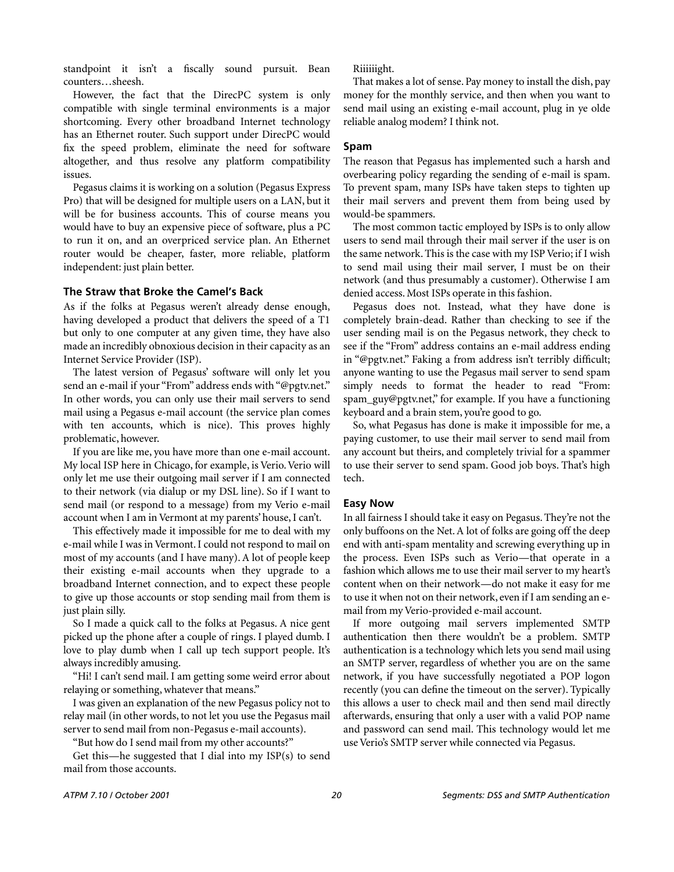standpoint it isn't a fiscally sound pursuit. Bean counters…sheesh.

However, the fact that the DirecPC system is only compatible with single terminal environments is a major shortcoming. Every other broadband Internet technology has an Ethernet router. Such support under DirecPC would fix the speed problem, eliminate the need for software altogether, and thus resolve any platform compatibility issues.

Pegasus claims it is working on a solution (Pegasus Express Pro) that will be designed for multiple users on a LAN, but it will be for business accounts. This of course means you would have to buy an expensive piece of software, plus a PC to run it on, and an overpriced service plan. An Ethernet router would be cheaper, faster, more reliable, platform independent: just plain better.

#### **The Straw that Broke the Camel's Back**

As if the folks at Pegasus weren't already dense enough, having developed a product that delivers the speed of a T1 but only to one computer at any given time, they have also made an incredibly obnoxious decision in their capacity as an Internet Service Provider (ISP).

The latest version of Pegasus' software will only let you send an e-mail if your "From" address ends with "@pgtv.net." In other words, you can only use their mail servers to send mail using a Pegasus e-mail account (the service plan comes with ten accounts, which is nice). This proves highly problematic, however.

If you are like me, you have more than one e-mail account. My local ISP here in Chicago, for example, is Verio. Verio will only let me use their outgoing mail server if I am connected to their network (via dialup or my DSL line). So if I want to send mail (or respond to a message) from my Verio e-mail account when I am in Vermont at my parents' house, I can't.

This effectively made it impossible for me to deal with my e-mail while I was in Vermont. I could not respond to mail on most of my accounts (and I have many). A lot of people keep their existing e-mail accounts when they upgrade to a broadband Internet connection, and to expect these people to give up those accounts or stop sending mail from them is just plain silly.

So I made a quick call to the folks at Pegasus. A nice gent picked up the phone after a couple of rings. I played dumb. I love to play dumb when I call up tech support people. It's always incredibly amusing.

"Hi! I can't send mail. I am getting some weird error about relaying or something, whatever that means."

I was given an explanation of the new Pegasus policy not to relay mail (in other words, to not let you use the Pegasus mail server to send mail from non-Pegasus e-mail accounts).

"But how do I send mail from my other accounts?"

Get this—he suggested that I dial into my ISP(s) to send mail from those accounts.

Riiiiiight.

That makes a lot of sense. Pay money to install the dish, pay money for the monthly service, and then when you want to send mail using an existing e-mail account, plug in ye olde reliable analog modem? I think not.

#### **Spam**

The reason that Pegasus has implemented such a harsh and overbearing policy regarding the sending of e-mail is spam. To prevent spam, many ISPs have taken steps to tighten up their mail servers and prevent them from being used by would-be spammers.

The most common tactic employed by ISPs is to only allow users to send mail through their mail server if the user is on the same network. This is the case with my ISP Verio; if I wish to send mail using their mail server, I must be on their network (and thus presumably a customer). Otherwise I am denied access. Most ISPs operate in this fashion.

Pegasus does not. Instead, what they have done is completely brain-dead. Rather than checking to see if the user sending mail is on the Pegasus network, they check to see if the "From" address contains an e-mail address ending in "@pgtv.net." Faking a from address isn't terribly difficult; anyone wanting to use the Pegasus mail server to send spam simply needs to format the header to read "From: spam\_guy@pgtv.net," for example. If you have a functioning keyboard and a brain stem, you're good to go.

So, what Pegasus has done is make it impossible for me, a paying customer, to use their mail server to send mail from any account but theirs, and completely trivial for a spammer to use their server to send spam. Good job boys. That's high tech.

#### **Easy Now**

In all fairness I should take it easy on Pegasus. They're not the only buffoons on the Net. A lot of folks are going off the deep end with anti-spam mentality and screwing everything up in the process. Even ISPs such as Verio—that operate in a fashion which allows me to use their mail server to my heart's content when on their network—do not make it easy for me to use it when not on their network, even if I am sending an email from my Verio-provided e-mail account.

If more outgoing mail servers implemented SMTP authentication then there wouldn't be a problem. SMTP authentication is a technology which lets you send mail using an SMTP server, regardless of whether you are on the same network, if you have successfully negotiated a POP logon recently (you can define the timeout on the server). Typically this allows a user to check mail and then send mail directly afterwards, ensuring that only a user with a valid POP name and password can send mail. This technology would let me use Verio's SMTP server while connected via Pegasus.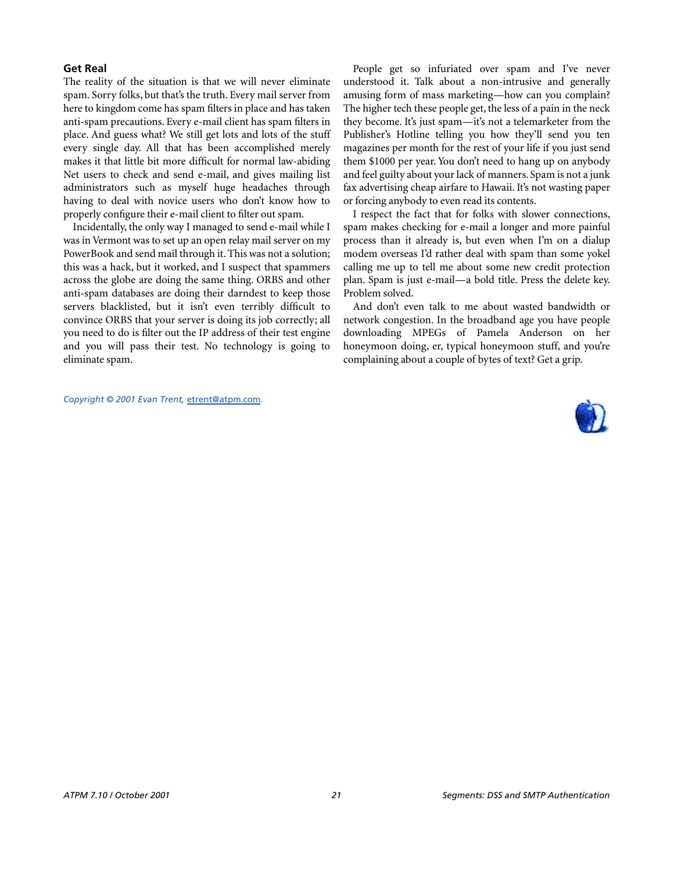#### **Get Real**

The reality of the situation is that we will never eliminate spam. Sorry folks, but that's the truth. Every mail server from here to kingdom come has spam filters in place and has taken anti-spam precautions. Every e-mail client has spam filters in place. And guess what? We still get lots and lots of the stuff every single day. All that has been accomplished merely makes it that little bit more difficult for normal law-abiding Net users to check and send e-mail, and gives mailing list administrators such as myself huge headaches through having to deal with novice users who don't know how to properly configure their e-mail client to filter out spam.

Incidentally, the only way I managed to send e-mail while I was in Vermont was to set up an open relay mail server on my PowerBook and send mail through it. This was not a solution; this was a hack, but it worked, and I suspect that spammers across the globe are doing the same thing. ORBS and other anti-spam databases are doing their darndest to keep those servers blacklisted, but it isn't even terribly difficult to convince ORBS that your server is doing its job correctly; all you need to do is filter out the IP address of their test engine and you will pass their test. No technology is going to eliminate spam.

*Copyright © 2001 Evan Trent,* [etrent@atpm.com](mailto:etrent@atpm.com)*.*

People get so infuriated over spam and I've never understood it. Talk about a non-intrusive and generally amusing form of mass marketing—how can you complain? The higher tech these people get, the less of a pain in the neck they become. It's just spam—it's not a telemarketer from the Publisher's Hotline telling you how they'll send you ten magazines per month for the rest of your life if you just send them \$1000 per year. You don't need to hang up on anybody and feel guilty about your lack of manners. Spam is not a junk fax advertising cheap airfare to Hawaii. It's not wasting paper or forcing anybody to even read its contents.

I respect the fact that for folks with slower connections, spam makes checking for e-mail a longer and more painful process than it already is, but even when I'm on a dialup modem overseas I'd rather deal with spam than some yokel calling me up to tell me about some new credit protection plan. Spam is just e-mail—a bold title. Press the delete key. Problem solved.

And don't even talk to me about wasted bandwidth or network congestion. In the broadband age you have people downloading MPEGs of Pamela Anderson on her honeymoon doing, er, typical honeymoon stuff, and you're complaining about a couple of bytes of text? Get a grip.

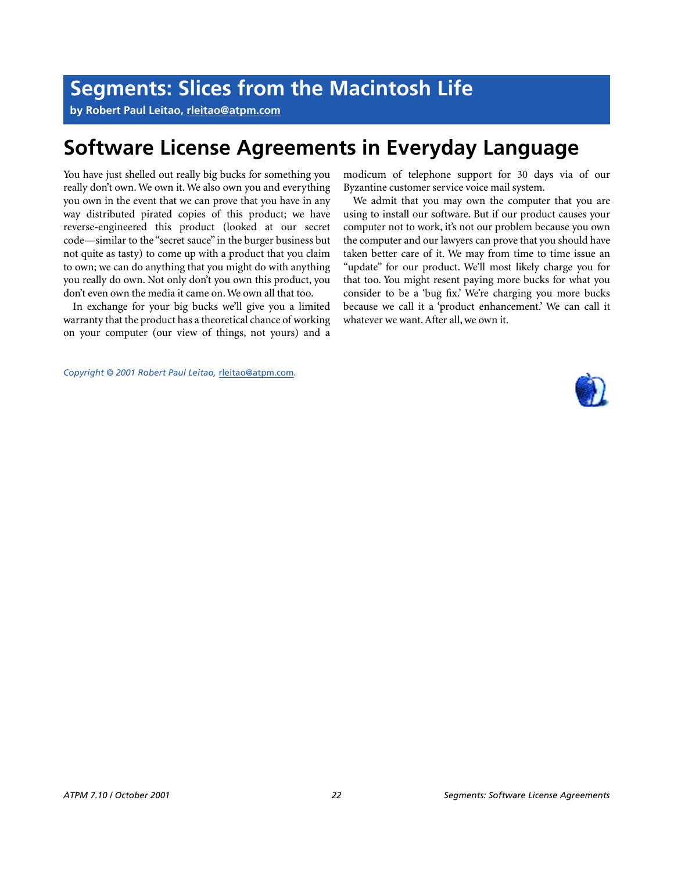**by Robert Paul Leitao, [rleitao@atpm.com](mailto:rleitao@atpm.com)**

## **Software License Agreements in Everyday Language**

You have just shelled out really big bucks for something you really don't own. We own it. We also own you and everything you own in the event that we can prove that you have in any way distributed pirated copies of this product; we have reverse-engineered this product (looked at our secret code—similar to the "secret sauce" in the burger business but not quite as tasty) to come up with a product that you claim to own; we can do anything that you might do with anything you really do own. Not only don't you own this product, you don't even own the media it came on. We own all that too.

In exchange for your big bucks we'll give you a limited warranty that the product has a theoretical chance of working on your computer (our view of things, not yours) and a

*Copyright © 2001 Robert Paul Leitao,* [rleitao@atpm.com](mailto:rleitao@atpm.com)*.*

modicum of telephone support for 30 days via of our Byzantine customer service voice mail system.

We admit that you may own the computer that you are using to install our software. But if our product causes your computer not to work, it's not our problem because you own the computer and our lawyers can prove that you should have taken better care of it. We may from time to time issue an "update" for our product. We'll most likely charge you for that too. You might resent paying more bucks for what you consider to be a 'bug fix.' We're charging you more bucks because we call it a 'product enhancement.' We can call it whatever we want. After all, we own it.

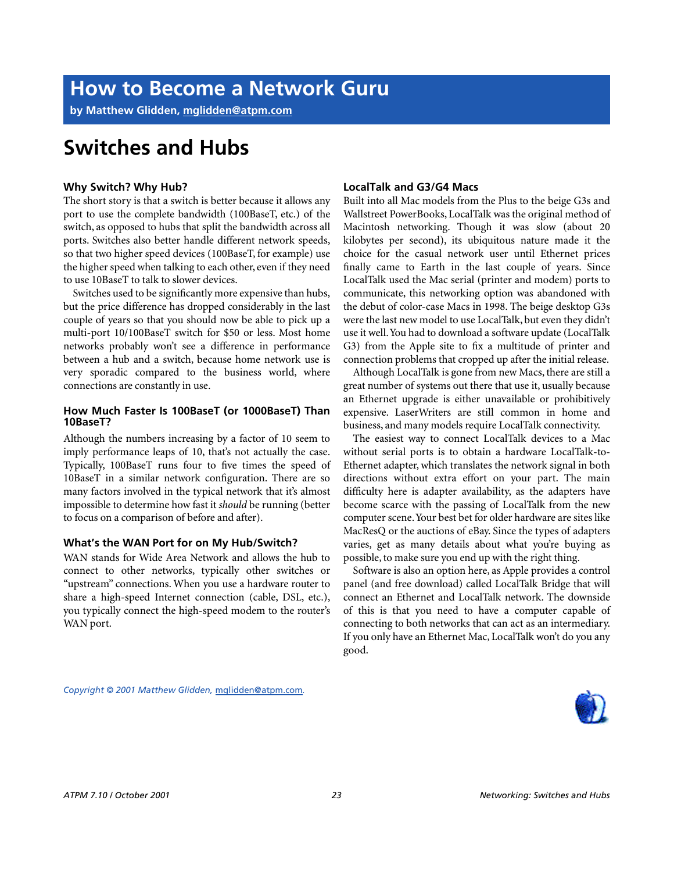**by Matthew Glidden, [mglidden@atpm.com](mailto:mglidden@atpm.com)**

## **Switches and Hubs**

#### **Why Switch? Why Hub?**

The short story is that a switch is better because it allows any port to use the complete bandwidth (100BaseT, etc.) of the switch, as opposed to hubs that split the bandwidth across all ports. Switches also better handle different network speeds, so that two higher speed devices (100BaseT, for example) use the higher speed when talking to each other, even if they need to use 10BaseT to talk to slower devices.

Switches used to be significantly more expensive than hubs, but the price difference has dropped considerably in the last couple of years so that you should now be able to pick up a multi-port 10/100BaseT switch for \$50 or less. Most home networks probably won't see a difference in performance between a hub and a switch, because home network use is very sporadic compared to the business world, where connections are constantly in use.

#### **How Much Faster Is 100BaseT (or 1000BaseT) Than 10BaseT?**

Although the numbers increasing by a factor of 10 seem to imply performance leaps of 10, that's not actually the case. Typically, 100BaseT runs four to five times the speed of 10BaseT in a similar network configuration. There are so many factors involved in the typical network that it's almost impossible to determine how fast it *should* be running (better to focus on a comparison of before and after).

#### **What's the WAN Port for on My Hub/Switch?**

WAN stands for Wide Area Network and allows the hub to connect to other networks, typically other switches or "upstream" connections. When you use a hardware router to share a high-speed Internet connection (cable, DSL, etc.), you typically connect the high-speed modem to the router's WAN port.

#### **LocalTalk and G3/G4 Macs**

Built into all Mac models from the Plus to the beige G3s and Wallstreet PowerBooks, LocalTalk was the original method of Macintosh networking. Though it was slow (about 20 kilobytes per second), its ubiquitous nature made it the choice for the casual network user until Ethernet prices finally came to Earth in the last couple of years. Since LocalTalk used the Mac serial (printer and modem) ports to communicate, this networking option was abandoned with the debut of color-case Macs in 1998. The beige desktop G3s were the last new model to use LocalTalk, but even they didn't use it well. You had to download a software update (LocalTalk G3) from the Apple site to fix a multitude of printer and connection problems that cropped up after the initial release.

Although LocalTalk is gone from new Macs, there are still a great number of systems out there that use it, usually because an Ethernet upgrade is either unavailable or prohibitively expensive. LaserWriters are still common in home and business, and many models require LocalTalk connectivity.

The easiest way to connect LocalTalk devices to a Mac without serial ports is to obtain a hardware LocalTalk-to-Ethernet adapter, which translates the network signal in both directions without extra effort on your part. The main difficulty here is adapter availability, as the adapters have become scarce with the passing of LocalTalk from the new computer scene. Your best bet for older hardware are sites like MacResQ or the auctions of eBay. Since the types of adapters varies, get as many details about what you're buying as possible, to make sure you end up with the right thing.

Software is also an option here, as Apple provides a control panel (and free download) called LocalTalk Bridge that will connect an Ethernet and LocalTalk network. The downside of this is that you need to have a computer capable of connecting to both networks that can act as an intermediary. If you only have an Ethernet Mac, LocalTalk won't do you any good.

*Copyright © 2001 Matthew Glidden,* [mglidden@atpm.com](mailto:mglidden@atpm.com)*.*

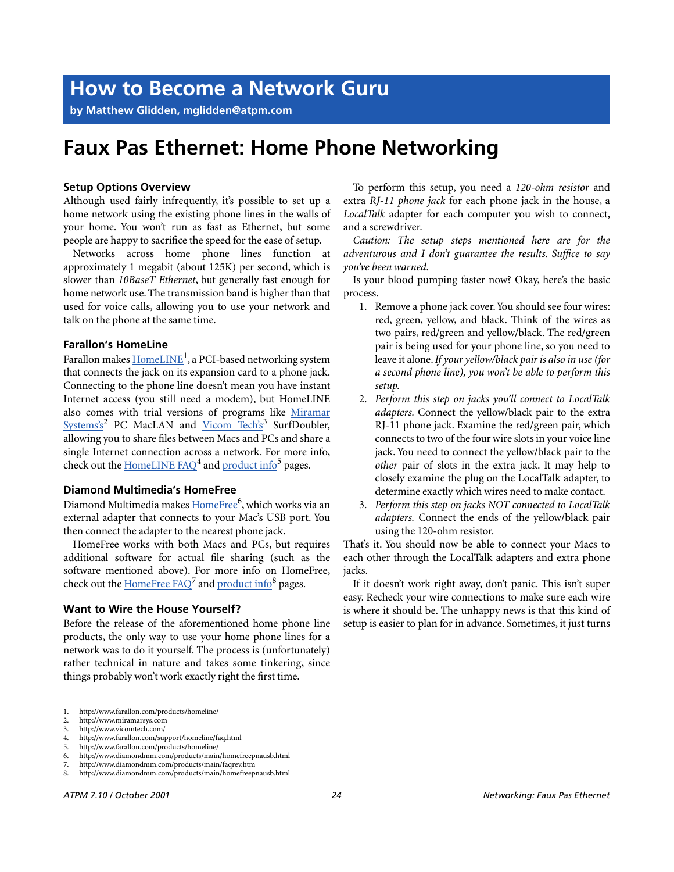**by Matthew Glidden, [mglidden@atpm.com](mailto:mglidden@atpm.com)**

## **Faux Pas Ethernet: Home Phone Networking**

#### **Setup Options Overview**

Although used fairly infrequently, it's possible to set up a home network using the existing phone lines in the walls of your home. You won't run as fast as Ethernet, but some people are happy to sacrifice the speed for the ease of setup.

Networks across home phone lines function at approximately 1 megabit (about 125K) per second, which is slower than *10BaseT Ethernet*, but generally fast enough for home network use. The transmission band is higher than that used for voice calls, allowing you to use your network and talk on the phone at the same time.

#### **Farallon's HomeLine**

Farallon makes <u>HomeLINE<sup>1</sup>,</u> a PCI-based networking system that connects the jack on its expansion card to a phone jack. Connecting to the phone line doesn't mean you have instant Internet access (you still need a modem), but HomeLINE also comes with trial versions of programs like [Miramar](http://www.miramarsys.com) [Systems's](http://www.miramarsys.com)<sup>2</sup> PC MacLAN and [Vicom Tech's](http://www.vicomtech.com/)<sup>3</sup> SurfDoubler, allowing you to share files between Macs and PCs and share a single Internet connection across a network. For more info, check out the **HomeLINE FAQ<sup>4</sup>** and product info<sup>5</sup> pages.

#### **Diamond Multimedia's HomeFree**

Diamond Multimedia makes <u>HomeFree</u><sup>6</sup>, which works via an external adapter that connects to your Mac's USB port. You then connect the adapter to the nearest phone jack.

HomeFree works with both Macs and PCs, but requires additional software for actual file sharing (such as the software mentioned above). For more info on HomeFree, check out the [HomeFree FAQ](http://www.diamondmm.com/products/main/faqrev.htm)<sup>7</sup> and [product info](http://www.diamondmm.com/products/main/homefreepnausb.html)<sup>8</sup> pages.

#### **Want to Wire the House Yourself?**

Before the release of the aforementioned home phone line products, the only way to use your home phone lines for a network was to do it yourself. The process is (unfortunately) rather technical in nature and takes some tinkering, since things probably won't work exactly right the first time.

To perform this setup, you need a *120-ohm resistor* and extra *RJ-11 phone jack* for each phone jack in the house, a *LocalTalk* adapter for each computer you wish to connect, and a screwdriver.

*Caution: The setup steps mentioned here are for the adventurous and I don't guarantee the results. Suffice to say you've been warned.*

Is your blood pumping faster now? Okay, here's the basic process.

- 1. Remove a phone jack cover. You should see four wires: red, green, yellow, and black. Think of the wires as two pairs, red/green and yellow/black. The red/green pair is being used for your phone line, so you need to leave it alone. *If your yellow/black pair is also in use (for a second phone line), you won't be able to perform this setup.*
- 2. *Perform this step on jacks you'll connect to LocalTalk adapters.* Connect the yellow/black pair to the extra RJ-11 phone jack. Examine the red/green pair, which connects to two of the four wire slots in your voice line jack. You need to connect the yellow/black pair to the *other* pair of slots in the extra jack. It may help to closely examine the plug on the LocalTalk adapter, to determine exactly which wires need to make contact.
- 3. *Perform this step on jacks NOT connected to LocalTalk adapters.* Connect the ends of the yellow/black pair using the 120-ohm resistor.

That's it. You should now be able to connect your Macs to each other through the LocalTalk adapters and extra phone jacks.

If it doesn't work right away, don't panic. This isn't super easy. Recheck your wire connections to make sure each wire is where it should be. The unhappy news is that this kind of setup is easier to plan for in advance. Sometimes, it just turns

<sup>1.</sup> http://www.farallon.com/products/homeline/

<sup>2.</sup> http://www.miramarsys.com

<sup>3.</sup> http://www.vicomtech.com/

<sup>4.</sup> http://www.farallon.com/support/homeline/faq.html

<sup>5.</sup> http://www.farallon.com/products/homeline/

<sup>6.</sup> http://www.diamondmm.com/products/main/homefreepnausb.html 7. http://www.diamondmm.com/products/main/faqrev.htm

<sup>8.</sup> http://www.diamondmm.com/products/main/homefreepnausb.html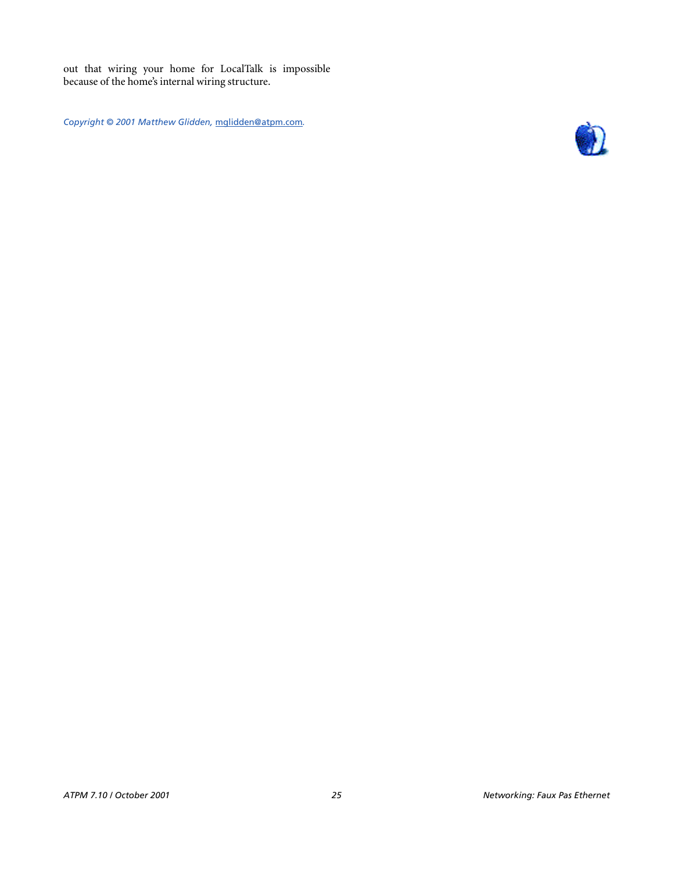out that wiring your home for LocalTalk is impossible because of the home's internal wiring structure.

*Copyright © 2001 Matthew Glidden,* [mglidden@atpm.com](mailto:mglidden@atpm.com)*.*

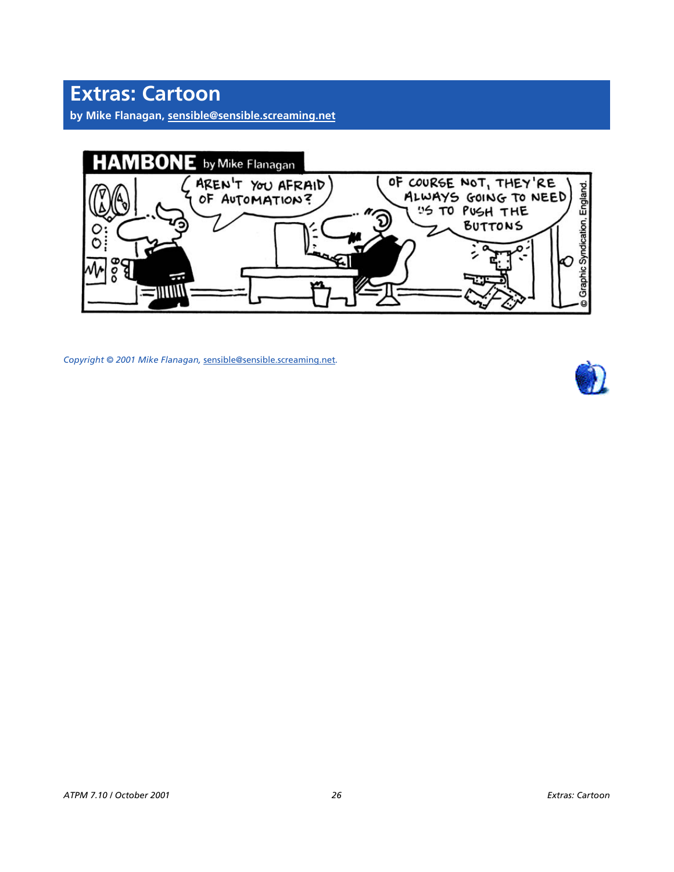**by Mike Flanagan, [sensible@sensible.screaming.net](mailto:sensible@sensible.screaming.net)**



*Copyright © 2001 Mike Flanagan,* [sensible@sensible.screaming.net](mailto:mrspiffy@earthlink.net)*.*

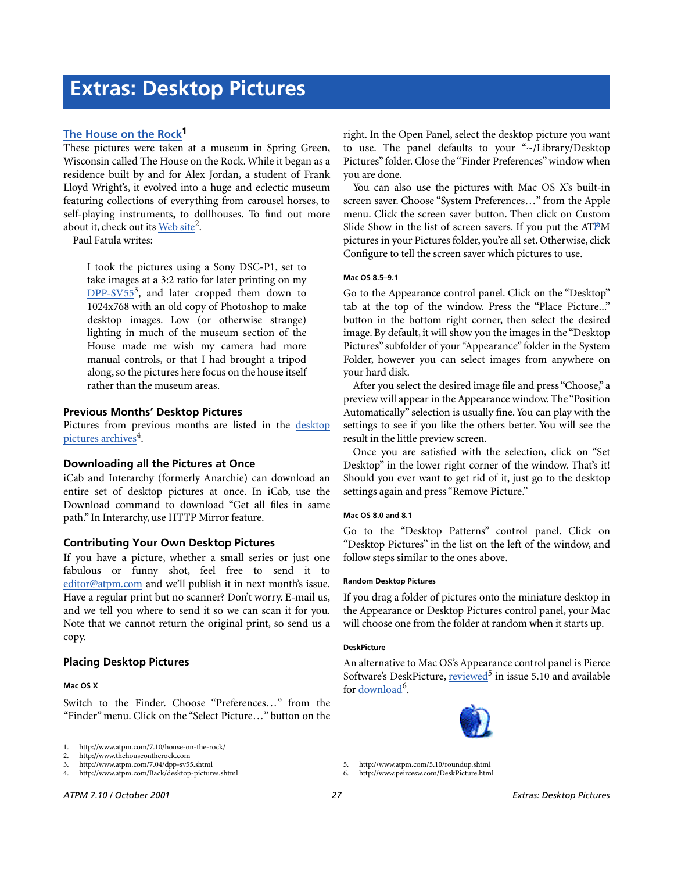#### **[The House on the Rock](http://www.atpm.com/7.10/house-on-the-rock/)1**

These pictures were taken at a museum in Spring Green, Wisconsin called The House on the Rock. While it began as a residence built by and for Alex Jordan, a student of Frank Lloyd Wright's, it evolved into a huge and eclectic museum featuring collections of everything from carousel horses, to self-playing instruments, to dollhouses. To find out more about it, check out its [Web site](http://www.thehouseontherock.com)<sup>2</sup>.

Paul Fatula writes:

I took the pictures using a Sony DSC-P1, set to take images at a 3:2 ratio for later printing on my DPP-SV55<sup>3</sup>, and later cropped them down to 1024x768 with an old copy of Photoshop to make desktop images. Low (or otherwise strange) lighting in much of the museum section of the House made me wish my camera had more manual controls, or that I had brought a tripod along, so the pictures here focus on the house itself rather than the museum areas.

#### **Previous Months' Desktop Pictures**

Pictures from previous months are listed in the [desktop](http://www.atpm.com/Back/desktop-pictures.shtml) [pictures archives](http://www.atpm.com/Back/desktop-pictures.shtml)<sup>4</sup>.

#### **Downloading all the Pictures at Once**

iCab and Interarchy (formerly Anarchie) can download an entire set of desktop pictures at once. In iCab, use the Download command to download "Get all files in same path." In Interarchy, use HTTP Mirror feature.

#### **Contributing Your Own Desktop Pictures**

If you have a picture, whether a small series or just one fabulous or funny shot, feel free to send it to [editor@atpm.com](mailto:editor@atpm.com) and we'll publish it in next month's issue. Have a regular print but no scanner? Don't worry. E-mail us, and we tell you where to send it so we can scan it for you. Note that we cannot return the original print, so send us a copy.

#### **Placing Desktop Pictures**

#### **Mac OS X**

Switch to the Finder. Choose "Preferences…" from the "Finder" menu. Click on the "Select Picture…" button on the

4. http://www.atpm.com/Back/desktop-pictures.shtml

right. In the Open Panel, select the desktop picture you want to use. The panel defaults to your "~/Library/Desktop Pictures" folder. Close the "Finder Preferences" window when you are done.

You can also use the pictures with Mac OS X's built-in screen saver. Choose "System Preferences…" from the Apple menu. Click the screen saver button. Then click on Custom Slide Show in the list of screen savers. If you put the ATPM pictures in your Pictures folder, you're all set. Otherwise, click Configure to tell the screen saver which pictures to use.

#### **Mac OS 8.5–9.1**

Go to the Appearance control panel. Click on the "Desktop" tab at the top of the window. Press the "Place Picture..." button in the bottom right corner, then select the desired image. By default, it will show you the images in the "Desktop Pictures" subfolder of your "Appearance" folder in the System Folder, however you can select images from anywhere on your hard disk.

After you select the desired image file and press "Choose," a preview will appear in the Appearance window. The "Position Automatically" selection is usually fine. You can play with the settings to see if you like the others better. You will see the result in the little preview screen.

Once you are satisfied with the selection, click on "Set Desktop" in the lower right corner of the window. That's it! Should you ever want to get rid of it, just go to the desktop settings again and press "Remove Picture."

#### **Mac OS 8.0 and 8.1**

Go to the "Desktop Patterns" control panel. Click on "Desktop Pictures" in the list on the left of the window, and follow steps similar to the ones above.

#### **Random Desktop Pictures**

If you drag a folder of pictures onto the miniature desktop in the Appearance or Desktop Pictures control panel, your Mac will choose one from the folder at random when it starts up.

#### **DeskPicture**

An alternative to Mac OS's Appearance control panel is Pierce Software's DeskPicture, reviewed<sup>5</sup> in issue 5.10 and available for <u>download</u><sup>6</sup>.



5. http://www.atpm.com/5.10/roundup.shtml

<sup>1.</sup> http://www.atpm.com/7.10/house-on-the-rock/

<sup>2.</sup> http://www.thehouseontherock.com

<sup>3.</sup> http://www.atpm.com/7.04/dpp-sv55.shtml

<sup>6.</sup> http://www.peircesw.com/DeskPicture.html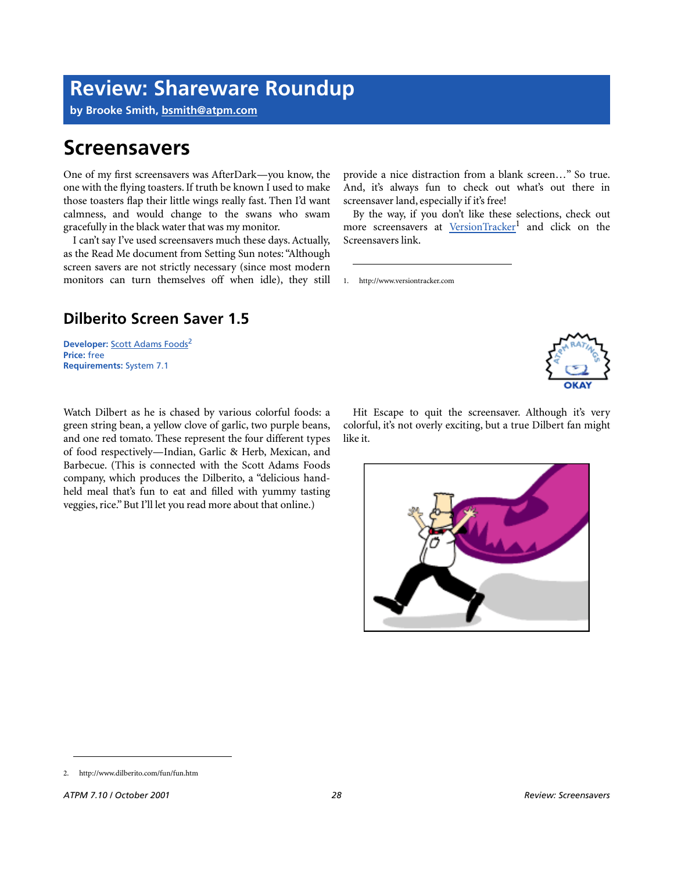## **Review: Shareware Roundup**

**by Brooke Smith, [bsmith@atpm.com](mailto:bsmith@atpm.com)**

## **Screensavers**

One of my first screensavers was AfterDark—you know, the one with the flying toasters. If truth be known I used to make those toasters flap their little wings really fast. Then I'd want calmness, and would change to the swans who swam gracefully in the black water that was my monitor.

I can't say I've used screensavers much these days. Actually, as the Read Me document from Setting Sun notes: "Although screen savers are not strictly necessary (since most modern monitors can turn themselves off when idle), they still provide a nice distraction from a blank screen…" So true. And, it's always fun to check out what's out there in screensaver land, especially if it's free!

By the way, if you don't like these selections, check out more screensavers at [VersionTracker](http://www.versiontracker.com)<sup>1</sup> and click on the Screensavers link.

1. http://www.versiontracker.com

### **Dilberito Screen Saver 1.5**

**Developer:** [Scott Adams Foods](http://www.dilberito.com/fun/fun.htm)<sup>2</sup> **Price:** free **Requirements:** System 7.1

Watch Dilbert as he is chased by various colorful foods: a green string bean, a yellow clove of garlic, two purple beans, and one red tomato. These represent the four different types of food respectively—Indian, Garlic & Herb, Mexican, and Barbecue. (This is connected with the Scott Adams Foods company, which produces the Dilberito, a "delicious handheld meal that's fun to eat and filled with yummy tasting veggies, rice." But I'll let you read more about that online.)

Hit Escape to quit the screensaver. Although it's very colorful, it's not overly exciting, but a true Dilbert fan might like it.



<sup>2.</sup> http://www.dilberito.com/fun/fun.htm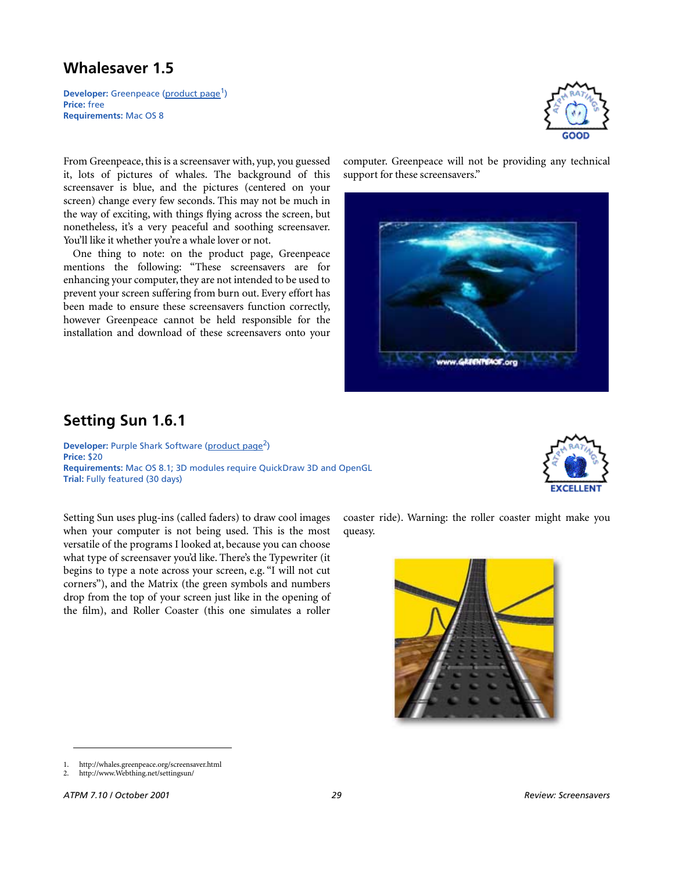## **Whalesaver 1.5**

**Developer:** Greenpeace [\(product page](http://whales.greenpeace.org/screensaver.html)<sup>1</sup>) **Price:** free **Requirements:** Mac OS 8

From Greenpeace, this is a screensaver with, yup, you guessed it, lots of pictures of whales. The background of this screensaver is blue, and the pictures (centered on your screen) change every few seconds. This may not be much in the way of exciting, with things flying across the screen, but nonetheless, it's a very peaceful and soothing screensaver. You'll like it whether you're a whale lover or not.

One thing to note: on the product page, Greenpeace mentions the following: "These screensavers are for enhancing your computer, they are not intended to be used to prevent your screen suffering from burn out. Every effort has been made to ensure these screensavers function correctly, however Greenpeace cannot be held responsible for the installation and download of these screensavers onto your



computer. Greenpeace will not be providing any technical support for these screensavers."



## **Setting Sun 1.6.1**

**Developer:** Purple Shark Software ([product page](http://www.Webthing.net/settingsun/)<sup>2</sup>) **Price:** \$20 **Requirements:** Mac OS 8.1; 3D modules require QuickDraw 3D and OpenGL **Trial:** Fully featured (30 days)

Setting Sun uses plug-ins (called faders) to draw cool images when your computer is not being used. This is the most versatile of the programs I looked at, because you can choose what type of screensaver you'd like. There's the Typewriter (it begins to type a note across your screen, e.g. "I will not cut corners"), and the Matrix (the green symbols and numbers drop from the top of your screen just like in the opening of the film), and Roller Coaster (this one simulates a roller



coaster ride). Warning: the roller coaster might make you queasy.



1. http://whales.greenpeace.org/screensaver.html

<sup>2.</sup> http://www.Webthing.net/settingsun/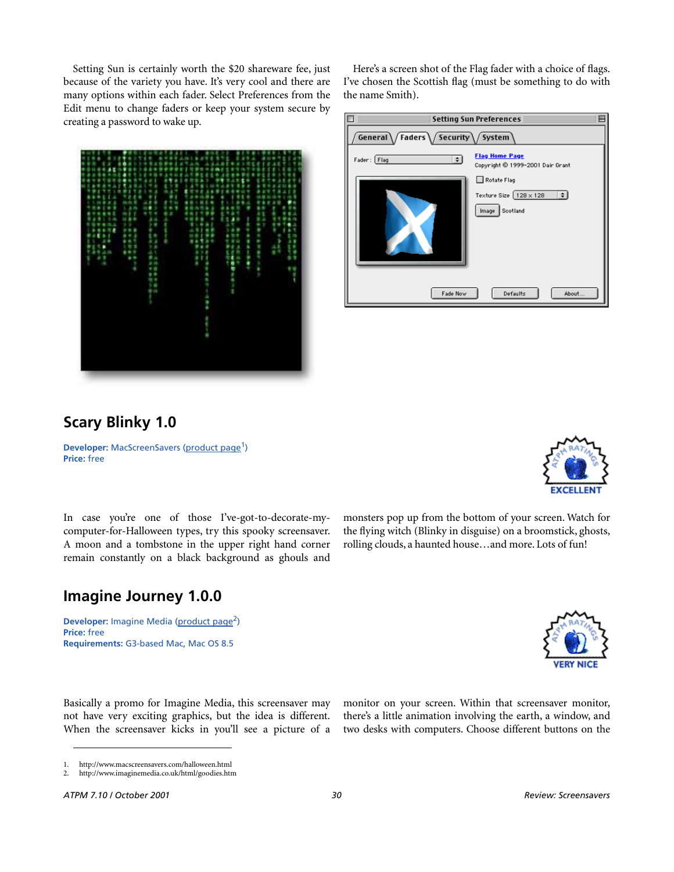Setting Sun is certainly worth the \$20 shareware fee, just because of the variety you have. It's very cool and there are many options within each fader. Select Preferences from the Edit menu to change faders or keep your system secure by creating a password to wake up.

Here's a screen shot of the Flag fader with a choice of flags. I've chosen the Scottish flag (must be something to do with the name Smith).

|                                      | <b>Setting Sun Preferences</b>                                         |
|--------------------------------------|------------------------------------------------------------------------|
| General / Faders / Security / System |                                                                        |
| Fader:   Flag<br>$\div$              | <b>Flag Home Page</b><br>Copyright © 1999-2001 Dair Grant              |
|                                      | Rotate Flag<br>Texture Size 128 x 128<br>$ \div $<br>Scotland<br>Image |
| Fade Now                             | Defaults<br>About                                                      |

## **Scary Blinky 1.0**

**Developer:** MacScreenSavers ([product page](http://www.macscreensavers.com/halloween.html)<sup>1</sup>) **Price:** free



In case you're one of those I've-got-to-decorate-mycomputer-for-Halloween types, try this spooky screensaver. A moon and a tombstone in the upper right hand corner remain constantly on a black background as ghouls and monsters pop up from the bottom of your screen. Watch for the flying witch (Blinky in disguise) on a broomstick, ghosts, rolling clouds, a haunted house…and more. Lots of fun!

## **Imagine Journey 1.0.0**

**Developer:** Imagine Media ([product page](http://www.imaginemedia.co.uk/html/goodies.htm)<sup>2</sup>) **Price:** free **Requirements:** G3-based Mac, Mac OS 8.5

Basically a promo for Imagine Media, this screensaver may not have very exciting graphics, but the idea is different. When the screensaver kicks in you'll see a picture of a

monitor on your screen. Within that screensaver monitor, there's a little animation involving the earth, a window, and two desks with computers. Choose different buttons on the

<sup>1.</sup> http://www.macscreensavers.com/halloween.html

<sup>2.</sup> http://www.imaginemedia.co.uk/html/goodies.htm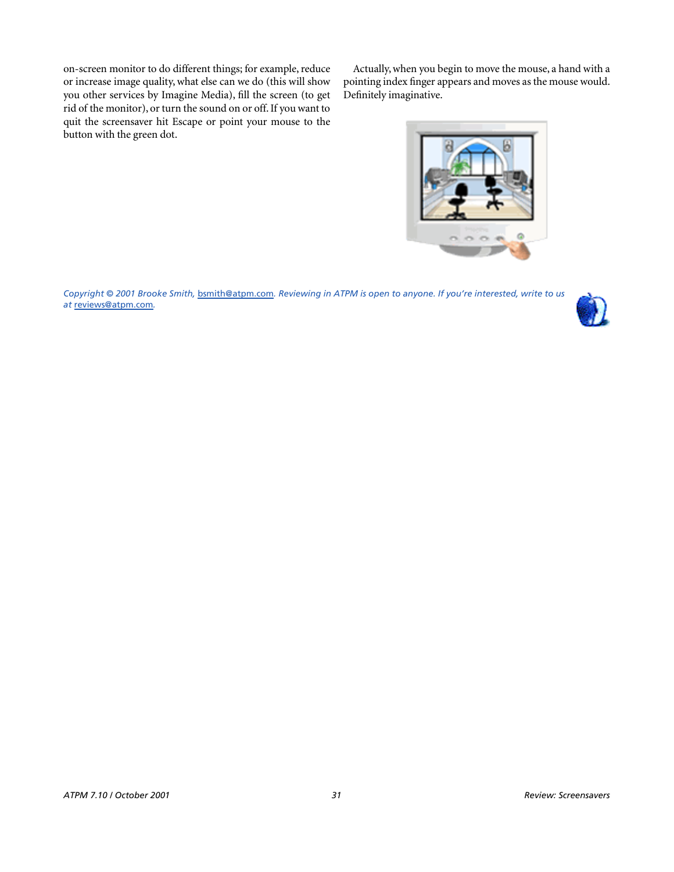on-screen monitor to do different things; for example, reduce or increase image quality, what else can we do (this will show you other services by Imagine Media), fill the screen (to get rid of the monitor), or turn the sound on or off. If you want to quit the screensaver hit Escape or point your mouse to the button with the green dot.

Actually, when you begin to move the mouse, a hand with a pointing index finger appears and moves as the mouse would. Definitely imaginative.



*Copyright © 2001 Brooke Smith,* [bsmith@atpm.com](mailto:bsmith@atpm.com)*. Reviewing in ATPM is open to anyone. If you're interested, write to us at* [reviews@atpm.com](mailto:reviews@atpm.com)*.*

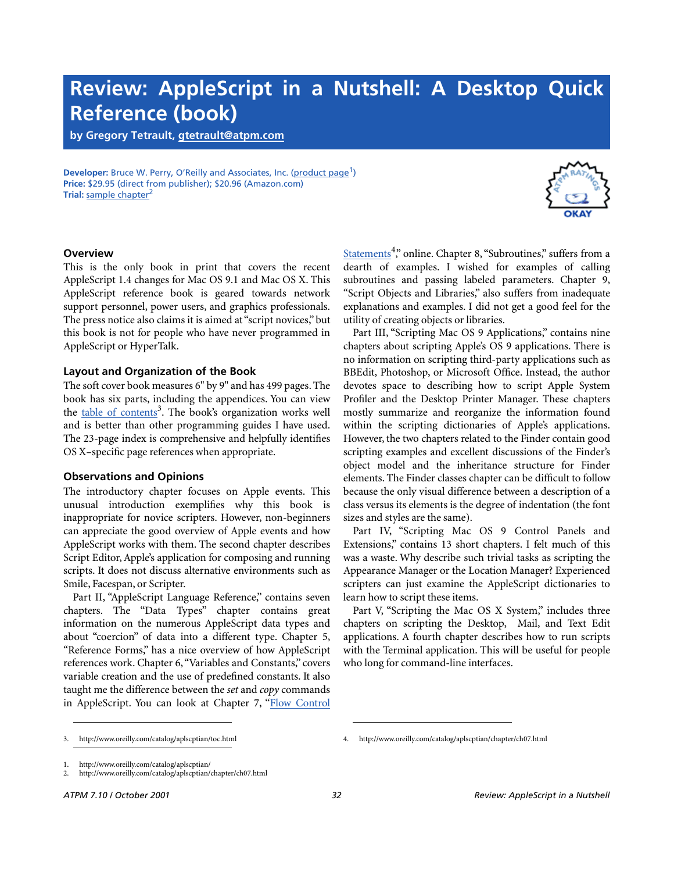## **Review: AppleScript in a Nutshell: A Desktop Quick Reference (book)**

**by Gregory Tetrault, [gtetrault@atpm.com](mailto:gtetrault@atpm.com)**

**Developer:** Bruce W. Perry, O'Reilly and Associates, Inc. [\(product page](http://www.oreilly.com/catalog/aplscptian/)<sup>1</sup>) **Price:** \$29.95 (direct from publisher); \$20.96 (Amazon.com) **Trial:** [sample chapter](http://www.oreilly.com/catalog/aplscptian/chapter/ch07.html)<sup>2</sup>



#### **Overview**

This is the only book in print that covers the recent AppleScript 1.4 changes for Mac OS 9.1 and Mac OS X. This AppleScript reference book is geared towards network support personnel, power users, and graphics professionals. The press notice also claims it is aimed at "script novices," but this book is not for people who have never programmed in AppleScript or HyperTalk.

#### **Layout and Organization of the Book**

The soft cover book measures 6" by 9" and has 499 pages. The book has six parts, including the appendices. You can view the [table of contents](http://www.oreilly.com/catalog/aplscptian/toc.html)<sup>3</sup>. The book's organization works well and is better than other programming guides I have used. The 23-page index is comprehensive and helpfully identifies OS X–specific page references when appropriate.

#### **Observations and Opinions**

The introductory chapter focuses on Apple events. This unusual introduction exemplifies why this book is inappropriate for novice scripters. However, non-beginners can appreciate the good overview of Apple events and how AppleScript works with them. The second chapter describes Script Editor, Apple's application for composing and running scripts. It does not discuss alternative environments such as Smile, Facespan, or Scripter.

Part II, "AppleScript Language Reference," contains seven chapters. The "Data Types" chapter contains great information on the numerous AppleScript data types and about "coercion" of data into a different type. Chapter 5, "Reference Forms," has a nice overview of how AppleScript references work. Chapter 6, "Variables and Constants," covers variable creation and the use of predefined constants. It also taught me the difference between the *set* and *copy* commands in AppleScript. You can look at Chapter 7, ["Flow Control](http://www.oreilly.com/catalog/aplscptian/chapter/ch07.html)

[Statements](http://www.oreilly.com/catalog/aplscptian/chapter/ch07.html)<sup>4</sup>," online. Chapter 8, "Subroutines," suffers from a dearth of examples. I wished for examples of calling subroutines and passing labeled parameters. Chapter 9, "Script Objects and Libraries," also suffers from inadequate explanations and examples. I did not get a good feel for the utility of creating objects or libraries.

Part III, "Scripting Mac OS 9 Applications," contains nine chapters about scripting Apple's OS 9 applications. There is no information on scripting third-party applications such as BBEdit, Photoshop, or Microsoft Office. Instead, the author devotes space to describing how to script Apple System Profiler and the Desktop Printer Manager. These chapters mostly summarize and reorganize the information found within the scripting dictionaries of Apple's applications. However, the two chapters related to the Finder contain good scripting examples and excellent discussions of the Finder's object model and the inheritance structure for Finder elements. The Finder classes chapter can be difficult to follow because the only visual difference between a description of a class versus its elements is the degree of indentation (the font sizes and styles are the same).

Part IV, "Scripting Mac OS 9 Control Panels and Extensions," contains 13 short chapters. I felt much of this was a waste. Why describe such trivial tasks as scripting the Appearance Manager or the Location Manager? Experienced scripters can just examine the AppleScript dictionaries to learn how to script these items.

Part V, "Scripting the Mac OS X System," includes three chapters on scripting the Desktop, Mail, and Text Edit applications. A fourth chapter describes how to run scripts with the Terminal application. This will be useful for people who long for command-line interfaces.

<sup>3.</sup> http://www.oreilly.com/catalog/aplscptian/toc.html 4. http://www.oreilly.com/catalog/aplscptian/chapter/ch07.html

<sup>1.</sup> http://www.oreilly.com/catalog/aplscptian/

<sup>2.</sup> http://www.oreilly.com/catalog/aplscptian/chapter/ch07.html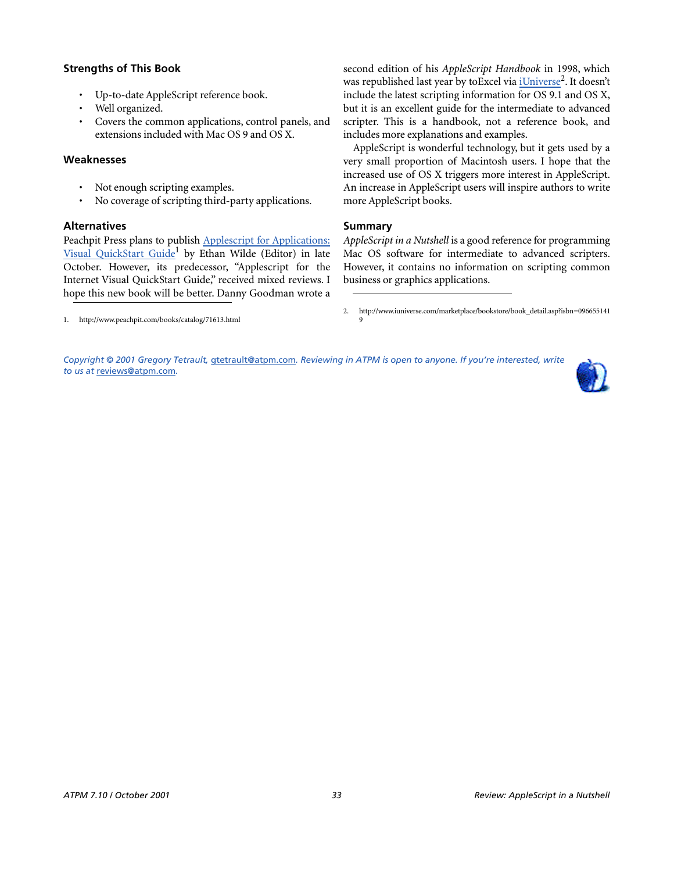#### **Strengths of This Book**

- Up-to-date AppleScript reference book.
- Well organized.
- Covers the common applications, control panels, and extensions included with Mac OS 9 and OS X.

#### **Weaknesses**

- Not enough scripting examples.
- No coverage of scripting third-party applications.

#### **Alternatives**

Peachpit Press plans to publish [Applescript for Applications:](http://www.peachpit.com/books/catalog/71613.html) [Visual QuickStart Guide](http://www.peachpit.com/books/catalog/71613.html)<sup>1</sup> by Ethan Wilde (Editor) in late October. However, its predecessor, "Applescript for the Internet Visual QuickStart Guide," received mixed reviews. I hope this new book will be better. Danny Goodman wrote a second edition of his *AppleScript Handbook* in 1998, which was republished last year by toExcel via iUniverse<sup>2</sup>. It doesn't include the latest scripting information for OS 9.1 and OS X, but it is an excellent guide for the intermediate to advanced scripter. This is a handbook, not a reference book, and includes more explanations and examples.

AppleScript is wonderful technology, but it gets used by a very small proportion of Macintosh users. I hope that the increased use of OS X triggers more interest in AppleScript. An increase in AppleScript users will inspire authors to write more AppleScript books.

#### **Summary**

*AppleScript in a Nutshell* is a good reference for programming Mac OS software for intermediate to advanced scripters. However, it contains no information on scripting common business or graphics applications.

*Copyright © 2001 Gregory Tetrault,* [gtetrault@atpm.com](mailto:gtetrault@atpm.com)*. Reviewing in ATPM is open to anyone. If you're interested, write to us at* [reviews@atpm.com](mailto:reviews@atpm.com)*.*



<sup>1.</sup> http://www.peachpit.com/books/catalog/71613.html

<sup>2.</sup> http://www.iuniverse.com/marketplace/bookstore/book\_detail.asp?isbn=096655141 9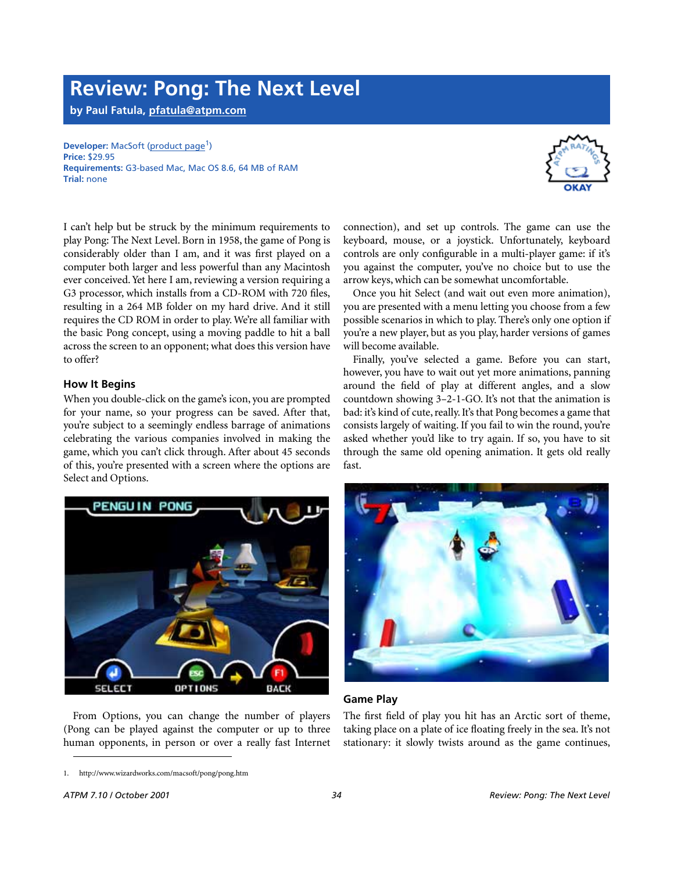## **Review: Pong: The Next Level**

**by Paul Fatula, [pfatula@atpm.com](mailto:pfatula@atpm.com)**

#### **Developer:** MacSoft [\(product page](http://www.wizardworks.com/macsoft/pong/pong.htm)<sup>1</sup>) **Price:** \$29.95 **Requirements:** G3-based Mac, Mac OS 8.6, 64 MB of RAM **Trial:** none



I can't help but be struck by the minimum requirements to play Pong: The Next Level. Born in 1958, the game of Pong is considerably older than I am, and it was first played on a computer both larger and less powerful than any Macintosh ever conceived. Yet here I am, reviewing a version requiring a G3 processor, which installs from a CD-ROM with 720 files, resulting in a 264 MB folder on my hard drive. And it still requires the CD ROM in order to play. We're all familiar with the basic Pong concept, using a moving paddle to hit a ball across the screen to an opponent; what does this version have to offer?

#### **How It Begins**

When you double-click on the game's icon, you are prompted for your name, so your progress can be saved. After that, you're subject to a seemingly endless barrage of animations celebrating the various companies involved in making the game, which you can't click through. After about 45 seconds of this, you're presented with a screen where the options are Select and Options.

connection), and set up controls. The game can use the keyboard, mouse, or a joystick. Unfortunately, keyboard controls are only configurable in a multi-player game: if it's you against the computer, you've no choice but to use the arrow keys, which can be somewhat uncomfortable.

Once you hit Select (and wait out even more animation), you are presented with a menu letting you choose from a few possible scenarios in which to play. There's only one option if you're a new player, but as you play, harder versions of games will become available.

Finally, you've selected a game. Before you can start, however, you have to wait out yet more animations, panning around the field of play at different angles, and a slow countdown showing 3–2-1-GO. It's not that the animation is bad: it's kind of cute, really. It's that Pong becomes a game that consists largely of waiting. If you fail to win the round, you're asked whether you'd like to try again. If so, you have to sit through the same old opening animation. It gets old really fast.



From Options, you can change the number of players (Pong can be played against the computer or up to three human opponents, in person or over a really fast Internet



**Game Play**

The first field of play you hit has an Arctic sort of theme, taking place on a plate of ice floating freely in the sea. It's not stationary: it slowly twists around as the game continues,

<sup>1.</sup> http://www.wizardworks.com/macsoft/pong/pong.htm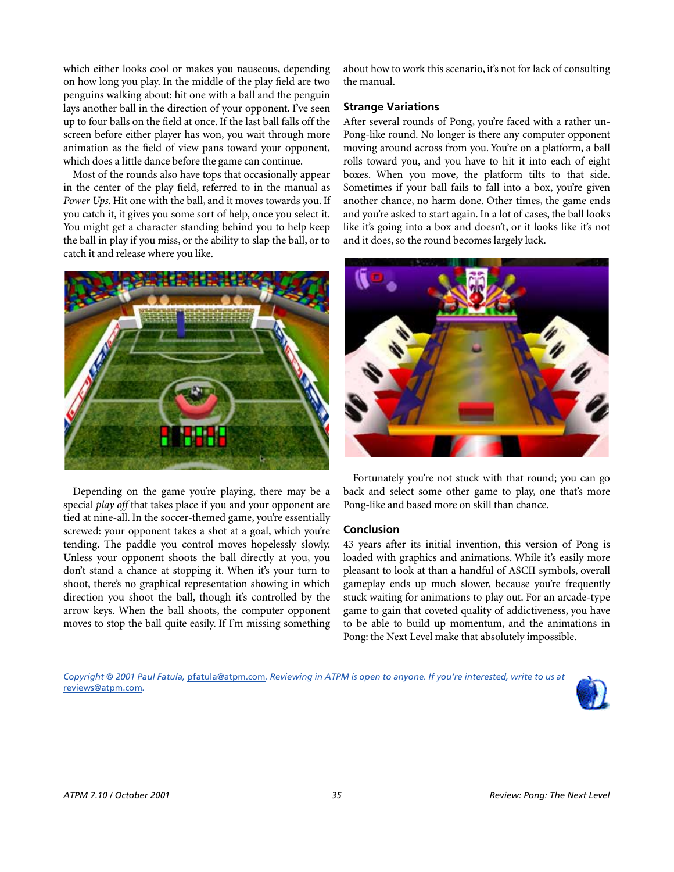which either looks cool or makes you nauseous, depending on how long you play. In the middle of the play field are two penguins walking about: hit one with a ball and the penguin lays another ball in the direction of your opponent. I've seen up to four balls on the field at once. If the last ball falls off the screen before either player has won, you wait through more animation as the field of view pans toward your opponent, which does a little dance before the game can continue.

Most of the rounds also have tops that occasionally appear in the center of the play field, referred to in the manual as *Power Ups*. Hit one with the ball, and it moves towards you. If you catch it, it gives you some sort of help, once you select it. You might get a character standing behind you to help keep the ball in play if you miss, or the ability to slap the ball, or to catch it and release where you like.



Depending on the game you're playing, there may be a special *play off* that takes place if you and your opponent are tied at nine-all. In the soccer-themed game, you're essentially screwed: your opponent takes a shot at a goal, which you're tending. The paddle you control moves hopelessly slowly. Unless your opponent shoots the ball directly at you, you don't stand a chance at stopping it. When it's your turn to shoot, there's no graphical representation showing in which direction you shoot the ball, though it's controlled by the arrow keys. When the ball shoots, the computer opponent moves to stop the ball quite easily. If I'm missing something

about how to work this scenario, it's not for lack of consulting the manual.

#### **Strange Variations**

After several rounds of Pong, you're faced with a rather un-Pong-like round. No longer is there any computer opponent moving around across from you. You're on a platform, a ball rolls toward you, and you have to hit it into each of eight boxes. When you move, the platform tilts to that side. Sometimes if your ball fails to fall into a box, you're given another chance, no harm done. Other times, the game ends and you're asked to start again. In a lot of cases, the ball looks like it's going into a box and doesn't, or it looks like it's not and it does, so the round becomes largely luck.



Fortunately you're not stuck with that round; you can go back and select some other game to play, one that's more Pong-like and based more on skill than chance.

#### **Conclusion**

43 years after its initial invention, this version of Pong is loaded with graphics and animations. While it's easily more pleasant to look at than a handful of ASCII symbols, overall gameplay ends up much slower, because you're frequently stuck waiting for animations to play out. For an arcade-type game to gain that coveted quality of addictiveness, you have to be able to build up momentum, and the animations in Pong: the Next Level make that absolutely impossible.

*Copyright © 2001 Paul Fatula,* [pfatula@atpm.com](mailto:pfatula@atpm.com)*. Reviewing in ATPM is open to anyone. If you're interested, write to us at*  [reviews@atpm.com](mailto:reviews@atpm.com)*.*

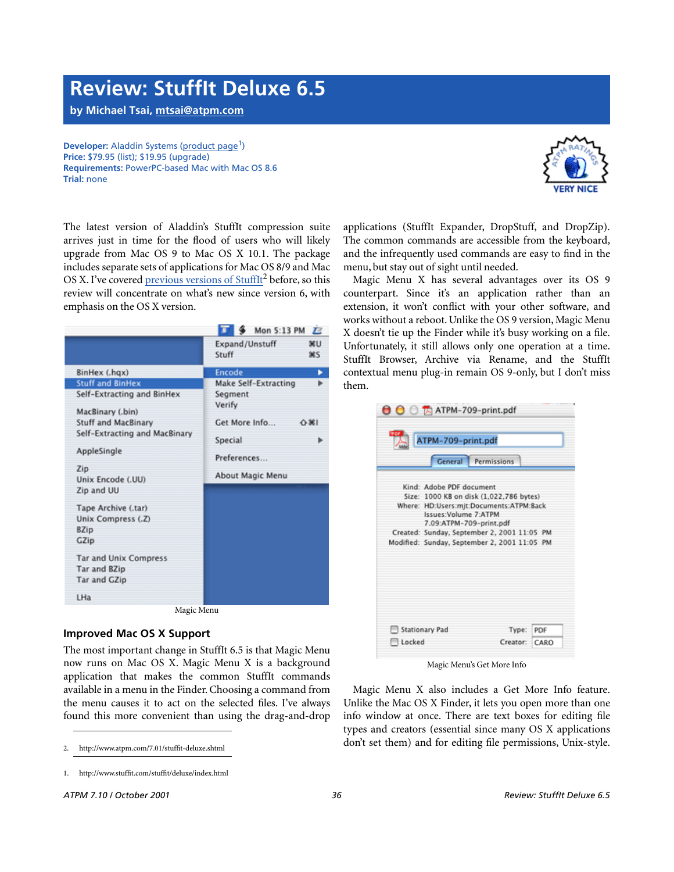## **Review: StuffIt Deluxe 6.5**

**by Michael Tsai, [mtsai@atpm.com](mailto:mtsai@atpm.com)**

**Developer:** Aladdin Systems [\(product page](http://www.stuffit.com/stuffit/deluxe/index.html)<sup>1</sup>) **Price:** \$79.95 (list); \$19.95 (upgrade) **Requirements:** PowerPC-based Mac with Mac OS 8.6 **Trial:** none



The latest version of Aladdin's StuffIt compression suite arrives just in time for the flood of users who will likely upgrade from Mac OS 9 to Mac OS X 10.1. The package includes separate sets of applications for Mac OS 8/9 and Mac OS X. I've covered [previous versions of StuffIt](http://www.atpm.com/7.01/stuffit-deluxe.shtml)<sup>2</sup> before, so this review will concentrate on what's new since version 6, with emphasis on the OS X version.

|                               | Mon 5:13 PM 23                              |
|-------------------------------|---------------------------------------------|
|                               | Expand/Unstuff<br>3£U<br>Stuff<br><b>SS</b> |
| BinHex (.hqx)                 | Encode                                      |
| <b>Stuff and BinHex</b>       | Make Self-Extracting                        |
| Self-Extracting and BinHex    | Segment                                     |
| MacBinary (.bin)              | Verify                                      |
| Stuff and MacBinary           | Get More Info<br>0.361                      |
| Self-Extracting and MacBinary | Special                                     |
| AppleSingle                   | Preferences                                 |
| Zip                           |                                             |
| Unix Encode (.UU)             | About Magic Menu                            |
| Zip and UU                    |                                             |
| Tape Archive (.tar)           |                                             |
| Unix Compress (.Z)            |                                             |
| <b>BZip</b>                   |                                             |
| GZip                          |                                             |
| <b>Tar and Unix Compress</b>  |                                             |
| Tar and BZip                  |                                             |
| Tar and GZip                  |                                             |
| LHa                           |                                             |
| Magic Menu                    |                                             |

#### Magic Menu

#### **Improved Mac OS X Support**

The most important change in StuffIt 6.5 is that Magic Menu now runs on Mac OS X. Magic Menu X is a background application that makes the common StuffIt commands available in a menu in the Finder. Choosing a command from the menu causes it to act on the selected files. I've always found this more convenient than using the drag-and-drop

applications (StuffIt Expander, DropStuff, and DropZip). The common commands are accessible from the keyboard, and the infrequently used commands are easy to find in the menu, but stay out of sight until needed.

Magic Menu X has several advantages over its OS 9 counterpart. Since it's an application rather than an extension, it won't conflict with your other software, and works without a reboot. Unlike the OS 9 version, Magic Menu X doesn't tie up the Finder while it's busy working on a file. Unfortunately, it still allows only one operation at a time. StuffIt Browser, Archive via Rename, and the StuffIt contextual menu plug-in remain OS 9-only, but I don't miss them.

|                          | General Permissions                          |  |
|--------------------------|----------------------------------------------|--|
| Kind: Adobe PDF document |                                              |  |
|                          | Size: 1000 KB on disk (1,022,786 bytes)      |  |
|                          | Where: HD:Users:mjt:Documents:ATPM:Back      |  |
| Issues: Volume 7: ATPM   |                                              |  |
| 7.09:ATPM-709-print.pdf  |                                              |  |
|                          | Created: Sunday, September 2, 2001 11:05 PM  |  |
|                          | Modified: Sunday, September 2, 2001 11:05 PM |  |
|                          |                                              |  |
|                          |                                              |  |
|                          |                                              |  |
|                          |                                              |  |

Magic Menu's Get More Info

Magic Menu X also includes a Get More Info feature. Unlike the Mac OS X Finder, it lets you open more than one info window at once. There are text boxes for editing file types and creators (essential since many OS X applications don't set them) and for editing file permissions, Unix-style.

<sup>2.</sup> http://www.atpm.com/7.01/stuffit-deluxe.shtml

<sup>1.</sup> http://www.stuffit.com/stuffit/deluxe/index.html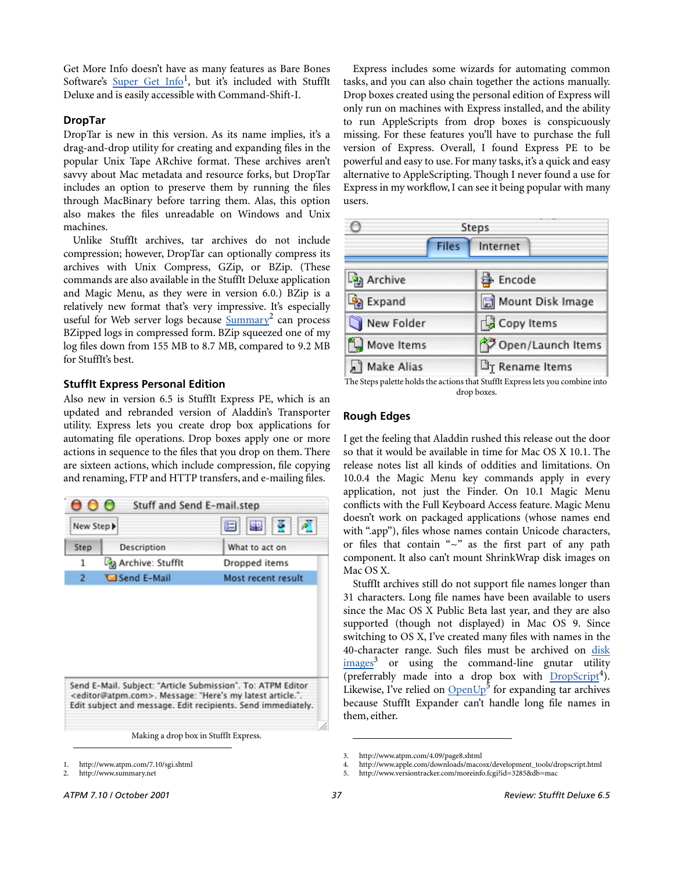Get More Info doesn't have as many features as Bare Bones Software's Super Get Info<sup>1</sup>, but it's included with StuffIt Deluxe and is easily accessible with Command-Shift-I.

#### **DropTar**

DropTar is new in this version. As its name implies, it's a drag-and-drop utility for creating and expanding files in the popular Unix Tape ARchive format. These archives aren't savvy about Mac metadata and resource forks, but DropTar includes an option to preserve them by running the files through MacBinary before tarring them. Alas, this option also makes the files unreadable on Windows and Unix machines.

Unlike StuffIt archives, tar archives do not include compression; however, DropTar can optionally compress its archives with Unix Compress, GZip, or BZip. (These commands are also available in the StuffIt Deluxe application and Magic Menu, as they were in version 6.0.) BZip is a relatively new format that's very impressive. It's especially useful for Web server logs because **Summary<sup>2</sup>** can process BZipped logs in compressed form. BZip squeezed one of my log files down from 155 MB to 8.7 MB, compared to 9.2 MB for StuffIt's best.

#### **StuffIt Express Personal Edition**

Also new in version 6.5 is StuffIt Express PE, which is an updated and rebranded version of Aladdin's Transporter utility. Express lets you create drop box applications for automating file operations. Drop boxes apply one or more actions in sequence to the files that you drop on them. There are sixteen actions, which include compression, file copying and renaming, FTP and HTTP transfers, and e-mailing files.



Send E-Mail. Subject: "Article Submission". To: ATPM Editor <editor@atpm.com>. Message: "Here's my latest article.". Edit subject and message. Edit recipients. Send immediately.

Making a drop box in StuffIt Express.

Express includes some wizards for automating common tasks, and you can also chain together the actions manually. Drop boxes created using the personal edition of Express will only run on machines with Express installed, and the ability to run AppleScripts from drop boxes is conspicuously missing. For these features you'll have to purchase the full version of Express. Overall, I found Express PE to be powerful and easy to use. For many tasks, it's a quick and easy alternative to AppleScripting. Though I never found a use for Express in my workflow, I can see it being popular with many users.





#### **Rough Edges**

I get the feeling that Aladdin rushed this release out the door so that it would be available in time for Mac OS X 10.1. The release notes list all kinds of oddities and limitations. On 10.0.4 the Magic Menu key commands apply in every application, not just the Finder. On 10.1 Magic Menu conflicts with the Full Keyboard Access feature. Magic Menu doesn't work on packaged applications (whose names end with ".app"), files whose names contain Unicode characters, or files that contain " $\sim$ " as the first part of any path component. It also can't mount ShrinkWrap disk images on Mac OS X.

StuffIt archives still do not support file names longer than 31 characters. Long file names have been available to users since the Mac OS X Public Beta last year, and they are also supported (though not displayed) in Mac OS 9. Since switching to OS X, I've created many files with names in the 40-character range. Such files must be archived on [disk](http://www.atpm.com/4.09/page8.shtml) [images](http://www.atpm.com/4.09/page8.shtml)<sup>3</sup> or using the command-line gnutar utility (preferrably made into a drop box with [DropScript](http://www.apple.com/downloads/macosx/development_tools/dropscript.html)<sup>4</sup>). Likewise, I've relied on **[OpenUp](http://www.versiontracker.com/moreinfo.fcgi?id=3285&db=mac)<sup>5</sup>** for expanding tar archives because StuffIt Expander can't handle long file names in them, either.

<sup>1.</sup> http://www.atpm.com/7.10/sgi.shtml

<sup>2.</sup> http://www.summary.net

<sup>3.</sup> http://www.atpm.com/4.09/page8.shtml

<sup>4.</sup> http://www.apple.com/downloads/macosx/development\_tools/dropscript.html

<sup>5.</sup> http://www.versiontracker.com/moreinfo.fcgi?id=3285&db=mac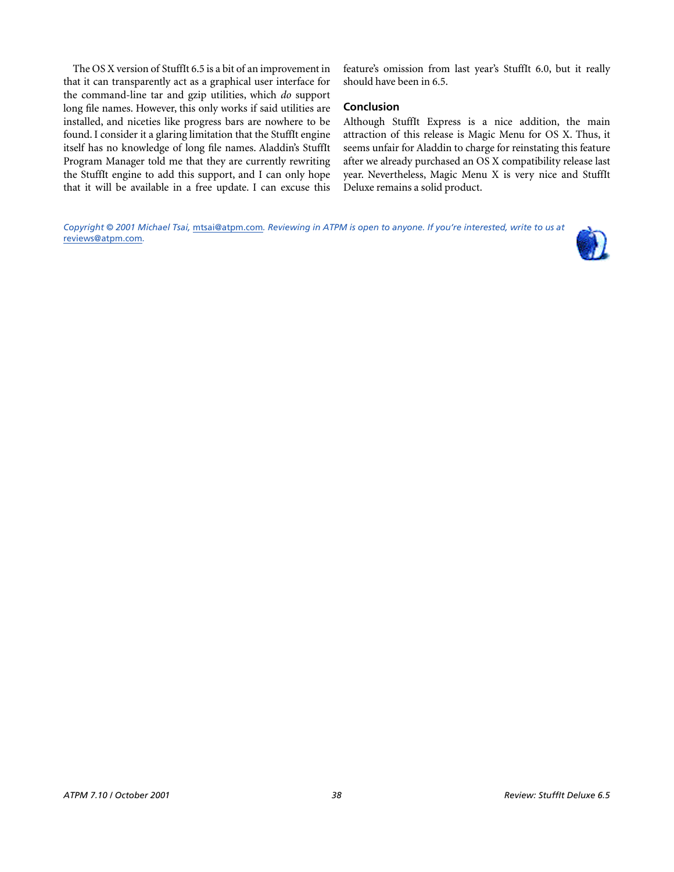The OS X version of StuffIt 6.5 is a bit of an improvement in that it can transparently act as a graphical user interface for the command-line tar and gzip utilities, which *do* support long file names. However, this only works if said utilities are installed, and niceties like progress bars are nowhere to be found. I consider it a glaring limitation that the StuffIt engine itself has no knowledge of long file names. Aladdin's StuffIt Program Manager told me that they are currently rewriting the StuffIt engine to add this support, and I can only hope that it will be available in a free update. I can excuse this

feature's omission from last year's StuffIt 6.0, but it really should have been in 6.5.

#### **Conclusion**

Although StuffIt Express is a nice addition, the main attraction of this release is Magic Menu for OS X. Thus, it seems unfair for Aladdin to charge for reinstating this feature after we already purchased an OS X compatibility release last year. Nevertheless, Magic Menu X is very nice and StuffIt Deluxe remains a solid product.

*Copyright © 2001 Michael Tsai,* [mtsai@atpm.com](mailto:mtsai@atpm.com)*. Reviewing in ATPM is open to anyone. If you're interested, write to us at*  [reviews@atpm.com](mailto:reviews@atpm.com)*.*

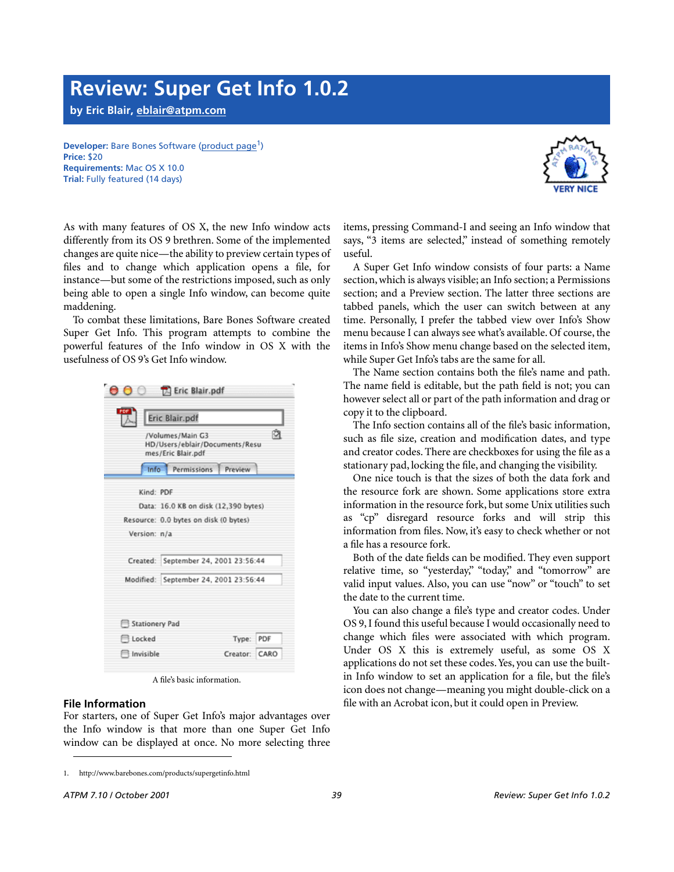## **Review: Super Get Info 1.0.2**

**by Eric Blair, [eblair@atpm.com](mailto:eblair@atpm.com)**

**Developer:** Bare Bones Software ([product page](http://www.barebones.com/products/supergetinfo.html)<sup>1</sup>) **Price:** \$20 **Requirements:** Mac OS X 10.0 **Trial:** Fully featured (14 days)



<span id="page-38-0"></span>As with many features of OS X, the new Info window acts differently from its OS 9 brethren. Some of the implemented changes are quite nice—the ability to preview certain types of files and to change which application opens a file, for instance—but some of the restrictions imposed, such as only being able to open a single Info window, can become quite maddening.

To combat these limitations, Bare Bones Software created Super Get Info. This program attempts to combine the powerful features of the Info window in OS X with the usefulness of OS 9's Get Info window.

| $\bullet$ $\circ$ | <sup>1</sup> Eric Blair.pdf                                              |      |
|-------------------|--------------------------------------------------------------------------|------|
| PDF               | Eric Blair.pdf                                                           |      |
|                   | /Volumes/Main G3<br>HD/Users/eblair/Documents/Resu<br>mes/Eric Blair.pdf |      |
| Info <sup>1</sup> | Permissions<br>Preview                                                   |      |
| Kind: PDF         |                                                                          |      |
|                   | Data: 16.0 KB on disk (12,390 bytes)                                     |      |
|                   | Resource: 0.0 bytes on disk (0 bytes)                                    |      |
| Version: n/a      |                                                                          |      |
|                   | Created: September 24, 2001 23:56:44                                     |      |
|                   | Modified: September 24, 2001 23:56:44                                    |      |
|                   |                                                                          |      |
| Stationery Pad    |                                                                          |      |
| <b>Locked</b>     | Type:                                                                    | PDF  |
| Invisible         | Creator:                                                                 | CARO |

A file's basic information.

#### **File Information**

For starters, one of Super Get Info's major advantages over the Info window is that more than one Super Get Info window can be displayed at once. No more selecting three

items, pressing Command-I and seeing an Info window that says, "3 items are selected," instead of something remotely useful.

A Super Get Info window consists of four parts: a Name section, which is always visible; an Info section; a Permissions section; and a Preview section. The latter three sections are tabbed panels, which the user can switch between at any time. Personally, I prefer the tabbed view over Info's Show menu because I can always see what's available. Of course, the items in Info's Show menu change based on the selected item, while Super Get Info's tabs are the same for all.

The Name section contains both the file's name and path. The name field is editable, but the path field is not; you can however select all or part of the path information and drag or copy it to the clipboard.

The Info section contains all of the file's basic information, such as file size, creation and modification dates, and type and creator codes. There are checkboxes for using the file as a stationary pad, locking the file, and changing the visibility.

One nice touch is that the sizes of both the data fork and the resource fork are shown. Some applications store extra information in the resource fork, but some Unix utilities such as "cp" disregard resource forks and will strip this information from files. Now, it's easy to check whether or not a file has a resource fork.

Both of the date fields can be modified. They even support relative time, so "yesterday," "today," and "tomorrow" are valid input values. Also, you can use "now" or "touch" to set the date to the current time.

You can also change a file's type and creator codes. Under OS 9, I found this useful because I would occasionally need to change which files were associated with which program. Under OS X this is extremely useful, as some OS X applications do not set these codes. Yes, you can use the builtin Info window to set an application for a file, but the file's icon does not change—meaning you might double-click on a file with an Acrobat icon, but it could open in Preview.

<sup>1.</sup> http://www.barebones.com/products/supergetinfo.html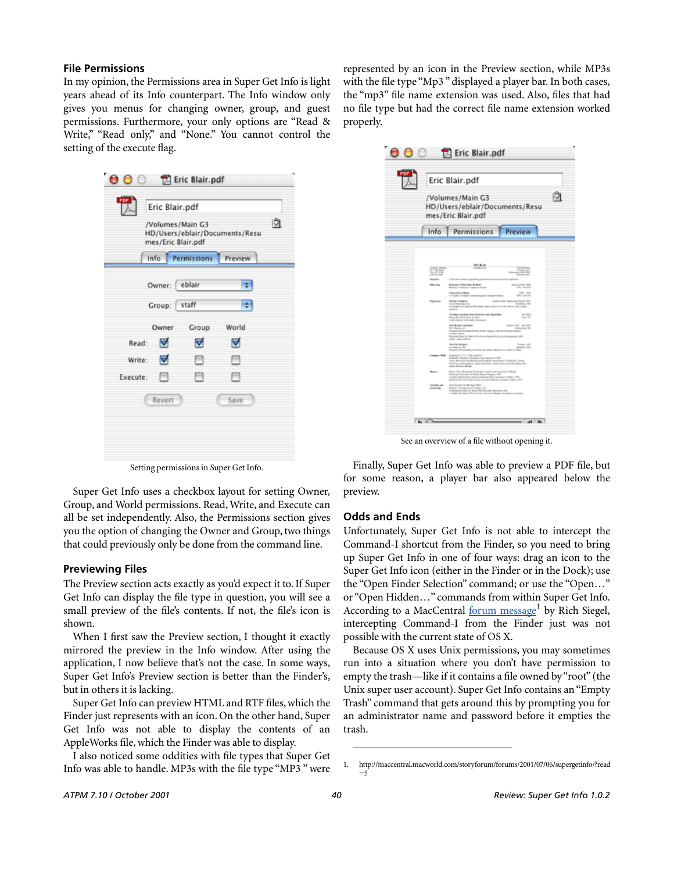#### **File Permissions**

In my opinion, the Permissions area in Super Get Info is light years ahead of its Info counterpart. The Info window only gives you menus for changing owner, group, and guest permissions. Furthermore, your only options are "Read & Write," "Read only," and "None." You cannot control the setting of the execute flag.

| PDF      | Eric Blair.pdf<br>mes/Eric Blair.pdf | /Volumes/Main G3 | HD/Users/eblair/Documents/Resu | q |
|----------|--------------------------------------|------------------|--------------------------------|---|
|          |                                      | Info Permissions | Preview                        |   |
|          | Owner: eblair                        |                  | ю                              |   |
|          | Group: staff                         |                  |                                |   |
|          | Owner                                | Group            | World                          |   |
| Read:    | ⊽                                    | ⊽                | ⊽                              |   |
| Write:   | ⊽                                    | m                | m                              |   |
| Execute: | Ħ                                    | Ħ                | Ħ                              |   |
|          | Revert                               |                  | Save                           |   |
|          |                                      |                  |                                |   |

Setting permissions in Super Get Info.

Super Get Info uses a checkbox layout for setting Owner, Group, and World permissions. Read, Write, and Execute can all be set independently. Also, the Permissions section gives you the option of changing the Owner and Group, two things that could previously only be done from the command line.

#### **Previewing Files**

The Preview section acts exactly as you'd expect it to. If Super Get Info can display the file type in question, you will see a small preview of the file's contents. If not, the file's icon is shown.

When I first saw the Preview section, I thought it exactly mirrored the preview in the Info window. After using the application, I now believe that's not the case. In some ways, Super Get Info's Preview section is better than the Finder's, but in others it is lacking.

Super Get Info can preview HTML and RTF files, which the Finder just represents with an icon. On the other hand, Super Get Info was not able to display the contents of an AppleWorks file, which the Finder was able to display.

I also noticed some oddities with file types that Super Get Info was able to handle. MP3s with the file type "MP3 " were represented by an icon in the Preview section, while MP3s with the file type "Mp3 " displayed a player bar. In both cases, the "mp3" file name extension was used. Also, files that had no file type but had the correct file name extension worked properly.

| /Volumes/Main G3<br>HD/Users/eblair/Documents/Resu<br>mes/Eric Blair.pdf<br>Permissions<br>Preview<br>Info<br><b>Buchun</b><br>cannibus no.<br>$-22$<br>A COL AND THE<br><b>AVELAND</b><br>A led you whose assurance exciterized as to derive manners.<br><b>Higgsdrup</b><br><b>Internation</b><br><b>Nutzuber Printerio for Matt</b><br><b>Randolf Mar (890)</b><br><b>The factor of Thelasca, IT staggers Therapy</b><br>EXPLA A JON & HAR<br><b>Grant and</b><br>costs - more<br>3. Under Compate Exploring and Compate Actions<br>1941年4月<br>Silver-Basket<br>Summer 2000, Nating and Summer 2002<br><b>Dispute to pay</b><br>Emblem, Mit.<br>And Esterday, No.<br>Proclayd concelleban Photologi argue house for chall's band today silely.<br>products.<br>Tracking clustered, State Streeters and Majorithms<br>14.344<br>For a few Houston, better<br>Fee Art<br>Auto coulour, a stronger centered<br><b>You August Leaster</b><br>Capital IRM  Adv DAYS<br><b>W.I. Moon Lift</b><br><b>Bellinghail</b> , NY<br>Encycle all minimizations probes angers allowed a stage appen-<br>contract contract<br>Denised due to later roll its diretapted by sounding quaster trifts.<br>ofte calculation<br><b>With file Braigany</b><br><b>Summer Hims</b><br>Andrew Wil<br>Canada la<br>Designed and resolutional hands and endirected up the artistics of classes.<br>Longogue 41, 31-4, 31al, and how<br>Computer Malle<br>Pushalo, Pauloso, Masanok, and unlast of LNS<br>Trade: Michael Viscollische auf ForeFlige, Mettersche Suid-Reiter Rabel-Chaff in zugleitung der Legel-Rabe.<br>Chaff in zugleitungleisen, Aughe Wach-Rabe. Ander-Rabel auf Municipal Plans.<br>Free Millard Miller<br>Plazin (saturdisanisa Polyacida Austras antichirania) of Music<br>Manuelus Isarenia al'Alusia Basan Rugues, 1914<br>Aradod Referència Isaal adalardap Kasil Anusaiy al Hilasi, 1996<br><b>Bonne</b><br>Information from Loads Service, Grouples Photoson, Australia, Ohio 2007.<br>With Geology for MPL Age Wilsol<br><b>STERN AVE</b><br>Months with Automaker Center Chil-<br>Entrienting<br>Cost during Editor for Minor The Ports of a Meant als since<br>Cadding for latest the Economic Service Baseau Andree Conveyable |  | Eric Blair.pdf |  |
|-------------------------------------------------------------------------------------------------------------------------------------------------------------------------------------------------------------------------------------------------------------------------------------------------------------------------------------------------------------------------------------------------------------------------------------------------------------------------------------------------------------------------------------------------------------------------------------------------------------------------------------------------------------------------------------------------------------------------------------------------------------------------------------------------------------------------------------------------------------------------------------------------------------------------------------------------------------------------------------------------------------------------------------------------------------------------------------------------------------------------------------------------------------------------------------------------------------------------------------------------------------------------------------------------------------------------------------------------------------------------------------------------------------------------------------------------------------------------------------------------------------------------------------------------------------------------------------------------------------------------------------------------------------------------------------------------------------------------------------------------------------------------------------------------------------------------------------------------------------------------------------------------------------------------------------------------------------------------------------------------------------------------------------------------------------------------------------------------------------------------------------------------------------------------------------------------------------------------------------|--|----------------|--|
|                                                                                                                                                                                                                                                                                                                                                                                                                                                                                                                                                                                                                                                                                                                                                                                                                                                                                                                                                                                                                                                                                                                                                                                                                                                                                                                                                                                                                                                                                                                                                                                                                                                                                                                                                                                                                                                                                                                                                                                                                                                                                                                                                                                                                                     |  |                |  |
|                                                                                                                                                                                                                                                                                                                                                                                                                                                                                                                                                                                                                                                                                                                                                                                                                                                                                                                                                                                                                                                                                                                                                                                                                                                                                                                                                                                                                                                                                                                                                                                                                                                                                                                                                                                                                                                                                                                                                                                                                                                                                                                                                                                                                                     |  |                |  |
|                                                                                                                                                                                                                                                                                                                                                                                                                                                                                                                                                                                                                                                                                                                                                                                                                                                                                                                                                                                                                                                                                                                                                                                                                                                                                                                                                                                                                                                                                                                                                                                                                                                                                                                                                                                                                                                                                                                                                                                                                                                                                                                                                                                                                                     |  |                |  |
|                                                                                                                                                                                                                                                                                                                                                                                                                                                                                                                                                                                                                                                                                                                                                                                                                                                                                                                                                                                                                                                                                                                                                                                                                                                                                                                                                                                                                                                                                                                                                                                                                                                                                                                                                                                                                                                                                                                                                                                                                                                                                                                                                                                                                                     |  |                |  |
|                                                                                                                                                                                                                                                                                                                                                                                                                                                                                                                                                                                                                                                                                                                                                                                                                                                                                                                                                                                                                                                                                                                                                                                                                                                                                                                                                                                                                                                                                                                                                                                                                                                                                                                                                                                                                                                                                                                                                                                                                                                                                                                                                                                                                                     |  |                |  |
|                                                                                                                                                                                                                                                                                                                                                                                                                                                                                                                                                                                                                                                                                                                                                                                                                                                                                                                                                                                                                                                                                                                                                                                                                                                                                                                                                                                                                                                                                                                                                                                                                                                                                                                                                                                                                                                                                                                                                                                                                                                                                                                                                                                                                                     |  |                |  |
|                                                                                                                                                                                                                                                                                                                                                                                                                                                                                                                                                                                                                                                                                                                                                                                                                                                                                                                                                                                                                                                                                                                                                                                                                                                                                                                                                                                                                                                                                                                                                                                                                                                                                                                                                                                                                                                                                                                                                                                                                                                                                                                                                                                                                                     |  |                |  |
|                                                                                                                                                                                                                                                                                                                                                                                                                                                                                                                                                                                                                                                                                                                                                                                                                                                                                                                                                                                                                                                                                                                                                                                                                                                                                                                                                                                                                                                                                                                                                                                                                                                                                                                                                                                                                                                                                                                                                                                                                                                                                                                                                                                                                                     |  |                |  |
|                                                                                                                                                                                                                                                                                                                                                                                                                                                                                                                                                                                                                                                                                                                                                                                                                                                                                                                                                                                                                                                                                                                                                                                                                                                                                                                                                                                                                                                                                                                                                                                                                                                                                                                                                                                                                                                                                                                                                                                                                                                                                                                                                                                                                                     |  |                |  |
|                                                                                                                                                                                                                                                                                                                                                                                                                                                                                                                                                                                                                                                                                                                                                                                                                                                                                                                                                                                                                                                                                                                                                                                                                                                                                                                                                                                                                                                                                                                                                                                                                                                                                                                                                                                                                                                                                                                                                                                                                                                                                                                                                                                                                                     |  |                |  |
|                                                                                                                                                                                                                                                                                                                                                                                                                                                                                                                                                                                                                                                                                                                                                                                                                                                                                                                                                                                                                                                                                                                                                                                                                                                                                                                                                                                                                                                                                                                                                                                                                                                                                                                                                                                                                                                                                                                                                                                                                                                                                                                                                                                                                                     |  |                |  |
|                                                                                                                                                                                                                                                                                                                                                                                                                                                                                                                                                                                                                                                                                                                                                                                                                                                                                                                                                                                                                                                                                                                                                                                                                                                                                                                                                                                                                                                                                                                                                                                                                                                                                                                                                                                                                                                                                                                                                                                                                                                                                                                                                                                                                                     |  |                |  |
|                                                                                                                                                                                                                                                                                                                                                                                                                                                                                                                                                                                                                                                                                                                                                                                                                                                                                                                                                                                                                                                                                                                                                                                                                                                                                                                                                                                                                                                                                                                                                                                                                                                                                                                                                                                                                                                                                                                                                                                                                                                                                                                                                                                                                                     |  |                |  |
|                                                                                                                                                                                                                                                                                                                                                                                                                                                                                                                                                                                                                                                                                                                                                                                                                                                                                                                                                                                                                                                                                                                                                                                                                                                                                                                                                                                                                                                                                                                                                                                                                                                                                                                                                                                                                                                                                                                                                                                                                                                                                                                                                                                                                                     |  |                |  |
|                                                                                                                                                                                                                                                                                                                                                                                                                                                                                                                                                                                                                                                                                                                                                                                                                                                                                                                                                                                                                                                                                                                                                                                                                                                                                                                                                                                                                                                                                                                                                                                                                                                                                                                                                                                                                                                                                                                                                                                                                                                                                                                                                                                                                                     |  |                |  |

See an overview of a file without opening it.

Finally, Super Get Info was able to preview a PDF file, but for some reason, a player bar also appeared below the preview.

#### **Odds and Ends**

Unfortunately, Super Get Info is not able to intercept the Command-I shortcut from the Finder, so you need to bring up Super Get Info in one of four ways: drag an icon to the Super Get Info icon (either in the Finder or in the Dock); use the "Open Finder Selection" command; or use the "Open…" or "Open Hidden…" commands from within Super Get Info. According to a MacCentral [forum message](http://maccentral.macworld.com/storyforum/forums/2001/07/06/supergetinfo/?read=5)<sup>1</sup> by Rich Siegel, intercepting Command-I from the Finder just was not possible with the current state of OS X.

Because OS X uses Unix permissions, you may sometimes run into a situation where you don't have permission to empty the trash—like if it contains a file owned by "root" (the Unix super user account). Super Get Info contains an "Empty Trash" command that gets around this by prompting you for an administrator name and password before it empties the trash.

<sup>1.</sup> http://maccentral.macworld.com/storyforum/forums/2001/07/06/supergetinfo/?read =5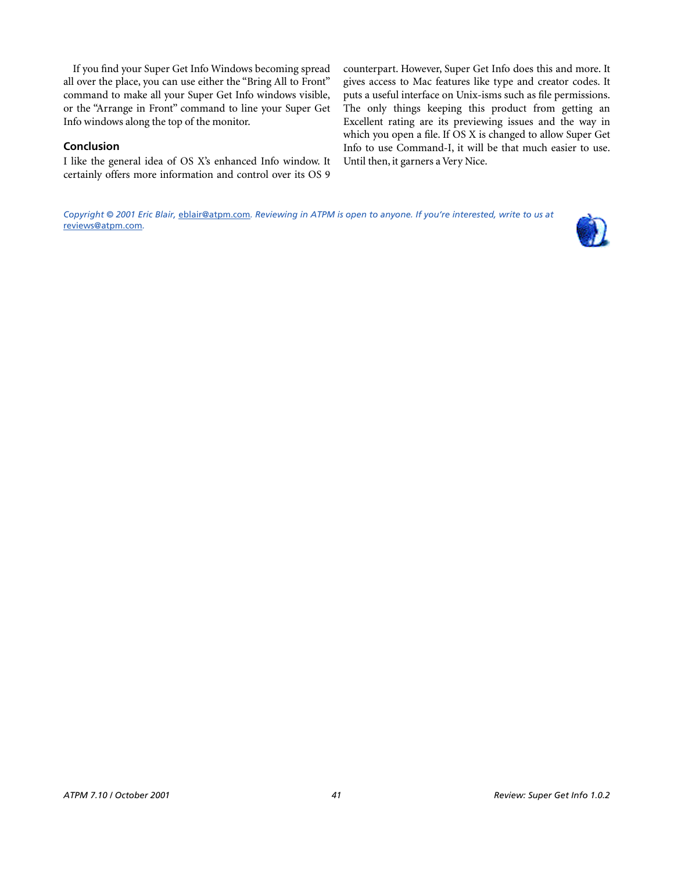If you find your Super Get Info Windows becoming spread all over the place, you can use either the "Bring All to Front" command to make all your Super Get Info windows visible, or the "Arrange in Front" command to line your Super Get Info windows along the top of the monitor.

#### **Conclusion**

I like the general idea of OS X's enhanced Info window. It certainly offers more information and control over its OS 9

counterpart. However, Super Get Info does this and more. It gives access to Mac features like type and creator codes. It puts a useful interface on Unix-isms such as file permissions. The only things keeping this product from getting an Excellent rating are its previewing issues and the way in which you open a file. If OS X is changed to allow Super Get Info to use Command-I, it will be that much easier to use. Until then, it garners a Very Nice.

*Copyright © 2001 Eric Blair,* [eblair@atpm.com](mailto:eblair@atpm.com)*. Reviewing in ATPM is open to anyone. If you're interested, write to us at*  [reviews@atpm.com](mailto:reviews@atpm.com)*.*

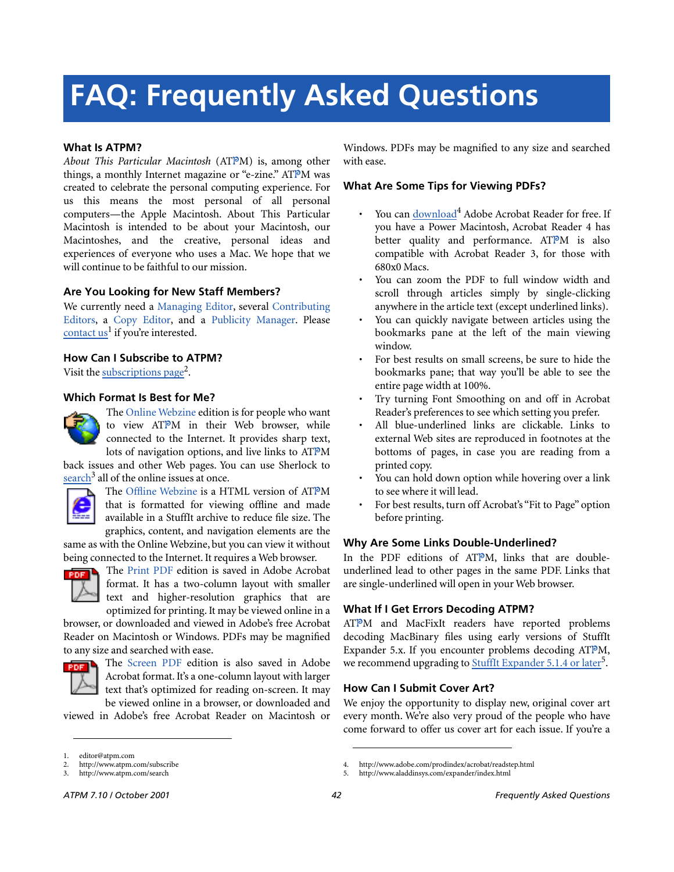# **FAQ: Frequently Asked Questions**

#### **What Is ATPM?**

*About This Particular Macintosh* (ATPM) is, among other things, a monthly Internet magazine or "e-zine." ATPM was created to celebrate the personal computing experience. For us this means the most personal of all personal computers—the Apple Macintosh. About This Particular Macintosh is intended to be about your Macintosh, our Macintoshes, and the creative, personal ideas and experiences of everyone who uses a Mac. We hope that we will continue to be faithful to our mission.

#### **Are You Looking for New Staff Members?**

We currently need a Managing Editor, several Contributing Editors, a Copy Editor, and a Publicity Manager. Please contact  $us^1$  if you're interested.

#### **How Can I Subscribe to ATPM?**

Visit the [subscriptions page](http://www.atpm.com/subscribe)<sup>2</sup>.

#### **Which Format Is Best for Me?**



The Online Webzine edition is for people who want to view ATPM in their Web browser, while connected to the Internet. It provides sharp text, lots of navigation options, and live links to ATPM

back issues and other Web pages. You can use Sherlock to  $\frac{\text{search}^3}{\text{all}}$  $\frac{\text{search}^3}{\text{all}}$  $\frac{\text{search}^3}{\text{all}}$  all of the online issues at once.



The Offline Webzine is a HTML version of ATPM that is formatted for viewing offline and made available in a StuffIt archive to reduce file size. The graphics, content, and navigation elements are the

same as with the Online Webzine, but you can view it without being connected to the Internet. It requires a Web browser.



The Print PDF edition is saved in Adobe Acrobat format. It has a two-column layout with smaller text and higher-resolution graphics that are optimized for printing. It may be viewed online in a

browser, or downloaded and viewed in Adobe's free Acrobat Reader on Macintosh or Windows. PDFs may be magnified to any size and searched with ease.



**FORE** The Screen PDF edition is also saved in Adobe Acrobat format. It's a one-column layout with larger text that's optimized for reading on-screen. It may be viewed online in a browser, or downloaded and

viewed in Adobe's free Acrobat Reader on Macintosh or

Windows. PDFs may be magnified to any size and searched with ease.

#### **What Are Some Tips for Viewing PDFs?**

- You can [download](http://www.adobe.com/prodindex/acrobat/readstep.html)<sup>4</sup> Adobe Acrobat Reader for free. If you have a Power Macintosh, Acrobat Reader 4 has better quality and performance. ATPM is also compatible with Acrobat Reader 3, for those with 680x0 Macs.
- You can zoom the PDF to full window width and scroll through articles simply by single-clicking anywhere in the article text (except underlined links).
- You can quickly navigate between articles using the bookmarks pane at the left of the main viewing window.
- For best results on small screens, be sure to hide the bookmarks pane; that way you'll be able to see the entire page width at 100%.
- Try turning Font Smoothing on and off in Acrobat Reader's preferences to see which setting you prefer.
- All blue-underlined links are clickable. Links to external Web sites are reproduced in footnotes at the bottoms of pages, in case you are reading from a printed copy.
- You can hold down option while hovering over a link to see where it will lead.
- For best results, turn off Acrobat's "Fit to Page" option before printing.

#### **Why Are Some Links Double-Underlined?**

In the PDF editions of ATPM, links that are doubleunderlined lead to other pages in the same PDF. Links that are single-underlined will open in your Web browser.

#### **What If I Get Errors Decoding ATPM?**

ATPM and MacFixIt readers have reported problems decoding MacBinary files using early versions of StuffIt Expander 5.x. If you encounter problems decoding ATPM, we recommend upgrading to **StuffIt Expander 5.1.4** or later<sup>5</sup>.

#### **How Can I Submit Cover Art?**

We enjoy the opportunity to display new, original cover art every month. We're also very proud of the people who have come forward to offer us cover art for each issue. If you're a

<sup>1.</sup> editor@atpm.com

<sup>2.</sup> http://www.atpm.com/subscribe<br>3. http://www.atpm.com/search

http://www.atpm.com/search

<sup>4.</sup> http://www.adobe.com/prodindex/acrobat/readstep.html

<sup>5.</sup> http://www.aladdinsys.com/expander/index.html